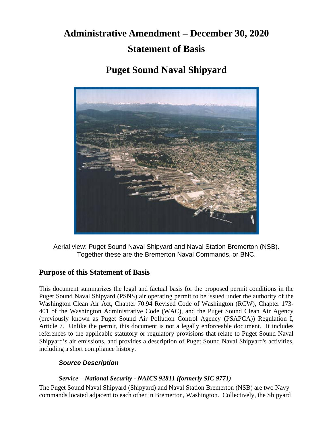# **Administrative Amendment – December 30, 2020 Statement of Basis**

# **Puget Sound Naval Shipyard**



Aerial view: Puget Sound Naval Shipyard and Naval Station Bremerton (NSB). Together these are the Bremerton Naval Commands, or BNC.

### **Purpose of this Statement of Basis**

This document summarizes the legal and factual basis for the proposed permit conditions in the Puget Sound Naval Shipyard (PSNS) air operating permit to be issued under the authority of the Washington Clean Air Act, Chapter 70.94 Revised Code of Washington (RCW), Chapter 173- 401 of the Washington Administrative Code (WAC), and the Puget Sound Clean Air Agency (previously known as Puget Sound Air Pollution Control Agency (PSAPCA)) Regulation I, Article 7. Unlike the permit, this document is not a legally enforceable document. It includes references to the applicable statutory or regulatory provisions that relate to Puget Sound Naval Shipyard's air emissions, and provides a description of Puget Sound Naval Shipyard's activities, including a short compliance history.

#### *Source Description*

#### *Service – National Security - NAICS 92811 (formerly SIC 9771)*

The Puget Sound Naval Shipyard (Shipyard) and Naval Station Bremerton (NSB) are two Navy commands located adjacent to each other in Bremerton, Washington. Collectively, the Shipyard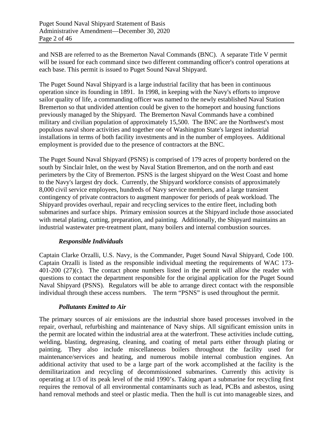and NSB are referred to as the Bremerton Naval Commands (BNC). A separate Title V permit will be issued for each command since two different commanding officer's control operations at each base. This permit is issued to Puget Sound Naval Shipyard.

The Puget Sound Naval Shipyard is a large industrial facility that has been in continuous operation since its founding in 1891. In 1998, in keeping with the Navy's efforts to improve sailor quality of life, a commanding officer was named to the newly established Naval Station Bremerton so that undivided attention could be given to the homeport and housing functions previously managed by the Shipyard. The Bremerton Naval Commands have a combined military and civilian population of approximately 15,500. The BNC are the Northwest's most populous naval shore activities and together one of Washington State's largest industrial installations in terms of both facility investments and in the number of employees. Additional employment is provided due to the presence of contractors at the BNC.

The Puget Sound Naval Shipyard (PSNS) is comprised of 179 acres of property bordered on the south by Sinclair Inlet, on the west by Naval Station Bremerton, and on the north and east perimeters by the City of Bremerton. PSNS is the largest shipyard on the West Coast and home to the Navy's largest dry dock. Currently, the Shipyard workforce consists of approximately 8,000 civil service employees, hundreds of Navy service members, and a large transient contingency of private contractors to augment manpower for periods of peak workload. The Shipyard provides overhaul, repair and recycling services to the entire fleet, including both submarines and surface ships. Primary emission sources at the Shipyard include those associated with metal plating, cutting, preparation, and painting. Additionally, the Shipyard maintains an industrial wastewater pre-treatment plant, many boilers and internal combustion sources.

#### *Responsible Individuals*

Captain Clarke Orzalli, U.S. Navy, is the Commander, Puget Sound Naval Shipyard, Code 100. Captain Orzalli is listed as the responsible individual meeting the requirements of WAC 173- 401-200 (27)(c). The contact phone numbers listed in the permit will allow the reader with questions to contact the department responsible for the original application for the Puget Sound Naval Shipyard (PSNS). Regulators will be able to arrange direct contact with the responsible individual through these access numbers. The term "PSNS" is used throughout the permit.

#### *Pollutants Emitted to Air*

The primary sources of air emissions are the industrial shore based processes involved in the repair, overhaul, refurbishing and maintenance of Navy ships. All significant emission units in the permit are located within the industrial area at the waterfront. These activities include cutting, welding, blasting, degreasing, cleaning, and coating of metal parts either through plating or painting. They also include miscellaneous boilers throughout the facility used for maintenance/services and heating, and numerous mobile internal combustion engines. An additional activity that used to be a large part of the work accomplished at the facility is the demilitarization and recycling of decommissioned submarines. Currently this activity is operating at 1/3 of its peak level of the mid 1990's. Taking apart a submarine for recycling first requires the removal of all environmental contaminants such as lead, PCBs and asbestos, using hand removal methods and steel or plastic media. Then the hull is cut into manageable sizes, and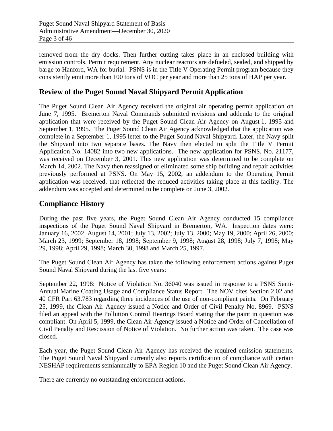removed from the dry docks. Then further cutting takes place in an enclosed building with emission controls. Permit requirement. Any nuclear reactors are defueled, sealed, and shipped by barge to Hanford, WA for burial. PSNS is in the Title V Operating Permit program because they consistently emit more than 100 tons of VOC per year and more than 25 tons of HAP per year.

### **Review of the Puget Sound Naval Shipyard Permit Application**

The Puget Sound Clean Air Agency received the original air operating permit application on June 7, 1995. Bremerton Naval Commands submitted revisions and addenda to the original application that were received by the Puget Sound Clean Air Agency on August 1, 1995 and September 1, 1995. The Puget Sound Clean Air Agency acknowledged that the application was complete in a September 1, 1995 letter to the Puget Sound Naval Shipyard. Later, the Navy split the Shipyard into two separate bases. The Navy then elected to split the Title V Permit Application No. 14082 into two new applications. The new application for PSNS, No. 21177, was received on December 3, 2001. This new application was determined to be complete on March 14, 2002. The Navy then reassigned or eliminated some ship building and repair activities previously performed at PSNS. On May 15, 2002, an addendum to the Operating Permit application was received, that reflected the reduced activities taking place at this facility. The addendum was accepted and determined to be complete on June 3, 2002.

#### **Compliance History**

During the past five years, the Puget Sound Clean Air Agency conducted 15 compliance inspections of the Puget Sound Naval Shipyard in Bremerton, WA. Inspection dates were: January 16, 2002, August 14, 2001; July 13, 2002; July 13, 2000; May 19, 2000; April 26, 2000; March 23, 1999; September 18, 1998; September 9, 1998; August 28, 1998; July 7, 1998; May 29, 1998; April 29, 1998; March 30, 1998 and March 25, 1997.

The Puget Sound Clean Air Agency has taken the following enforcement actions against Puget Sound Naval Shipyard during the last five years:

September 22, 1998: Notice of Violation No. 36040 was issued in response to a PSNS Semi-Annual Marine Coating Usage and Compliance Status Report. The NOV cites Section 2.02 and 40 CFR Part 63.783 regarding three incidences of the use of non-compliant paints. On February 25, 1999, the Clean Air Agency issued a Notice and Order of Civil Penalty No. 8969. PSNS filed an appeal with the Pollution Control Hearings Board stating that the paint in question was compliant. On April 5, 1999, the Clean Air Agency issued a Notice and Order of Cancellation of Civil Penalty and Rescission of Notice of Violation. No further action was taken. The case was closed.

Each year, the Puget Sound Clean Air Agency has received the required emission statements. The Puget Sound Naval Shipyard currently also reports certification of compliance with certain NESHAP requirements semiannually to EPA Region 10 and the Puget Sound Clean Air Agency.

There are currently no outstanding enforcement actions.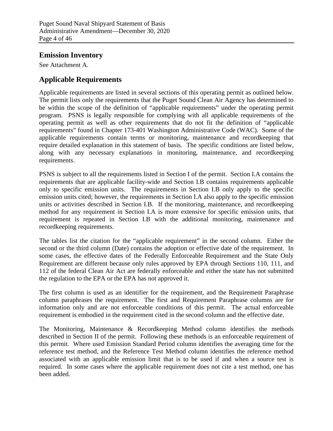#### **Emission Inventory**

See Attachment A.

### **Applicable Requirements**

Applicable requirements are listed in several sections of this operating permit as outlined below. The permit lists only the requirements that the Puget Sound Clean Air Agency has determined to be within the scope of the definition of "applicable requirements" under the operating permit program. PSNS is legally responsible for complying with all applicable requirements of the operating permit as well as other requirements that do not fit the definition of "applicable requirements" found in Chapter 173-401 Washington Administrative Code (WAC). Some of the applicable requirements contain terms or monitoring, maintenance and recordkeeping that require detailed explanation in this statement of basis. The specific conditions are listed below, along with any necessary explanations in monitoring, maintenance, and recordkeeping requirements.

PSNS is subject to all the requirements listed in Section I of the permit. Section I.A contains the requirements that are applicable facility-wide and Section I.B contains requirements applicable only to specific emission units. The requirements in Section I.B only apply to the specific emission units cited; however, the requirements in Section I.A also apply to the specific emission units or activities described in Section I.B. If the monitoring, maintenance, and recordkeeping method for any requirement in Section I.A is more extensive for specific emission units, that requirement is repeated in Section I.B with the additional monitoring, maintenance and recordkeeping requirements.

The tables list the citation for the "applicable requirement" in the second column. Either the second or the third column (Date) contains the adoption or effective date of the requirement. In some cases, the effective dates of the Federally Enforceable Requirement and the State Only Requirement are different because only rules approved by EPA through Sections 110, 111, and 112 of the federal Clean Air Act are federally enforceable and either the state has not submitted the regulation to the EPA or the EPA has not approved it.

The first column is used as an identifier for the requirement, and the Requirement Paraphrase column paraphrases the requirement. The first and Requirement Paraphrase columns are for information only and are not enforceable conditions of this permit. The actual enforceable requirement is embodied in the requirement cited in the second column and the effective date.

The Monitoring, Maintenance & Recordkeeping Method column identifies the methods described in Section II of the permit. Following these methods is an enforceable requirement of this permit. Where used Emission Standard Period column identifies the averaging time for the reference test method, and the Reference Test Method column identifies the reference method associated with an applicable emission limit that is to be used if and when a source test is required. In some cases where the applicable requirement does not cite a test method, one has been added.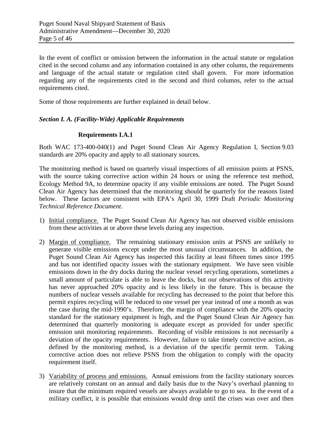In the event of conflict or omission between the information in the actual statute or regulation cited in the second column and any information contained in any other column, the requirements and language of the actual statute or regulation cited shall govern. For more information regarding any of the requirements cited in the second and third columns, refer to the actual requirements cited.

Some of those requirements are further explained in detail below.

#### *Section I. A. (Facility-Wide) Applicable Requirements*

#### **Requirements I.A.1**

Both WAC 173-400-040(1) and Puget Sound Clean Air Agency Regulation I, Section 9.03 standards are 20% opacity and apply to all stationary sources.

The monitoring method is based on quarterly visual inspections of all emission points at PSNS, with the source taking corrective action within 24 hours or using the reference test method, Ecology Method 9A, to determine opacity if any visible emissions are noted. The Puget Sound Clean Air Agency has determined that the monitoring should be quarterly for the reasons listed below. These factors are consistent with EPA's April 30, 1999 Draft *Periodic Monitoring Technical Reference Document*.

- 1) Initial compliance. The Puget Sound Clean Air Agency has not observed visible emissions from these activities at or above these levels during any inspection.
- 2) Margin of compliance. The remaining stationary emission units at PSNS are unlikely to generate visible emissions except under the most unusual circumstances. In addition, the Puget Sound Clean Air Agency has inspected this facility at least fifteen times since 1995 and has not identified opacity issues with the stationary equipment. We have seen visible emissions down in the dry docks during the nuclear vessel recycling operations, sometimes a small amount of particulate is able to leave the docks, but our observations of this activity has never approached 20% opacity and is less likely in the future. This is because the numbers of nuclear vessels available for recycling has decreased to the point that before this permit expires recycling will be reduced to one vessel per year instead of one a month as was the case during the mid-1990's. Therefore, the margin of compliance with the 20% opacity standard for the stationary equipment is high, and the Puget Sound Clean Air Agency has determined that quarterly monitoring is adequate except as provided for under specific emission unit monitoring requirements. Recording of visible emissions is not necessarily a deviation of the opacity requirements. However, failure to take timely corrective action, as defined by the monitoring method, is a deviation of the specific permit term. Taking corrective action does not relieve PSNS from the obligation to comply with the opacity requirement itself.
- 3) Variability of process and emissions. Annual emissions from the facility stationary sources are relatively constant on an annual and daily basis due to the Navy's overhaul planning to insure that the minimum required vessels are always available to go to sea. In the event of a military conflict, it is possible that emissions would drop until the crises was over and then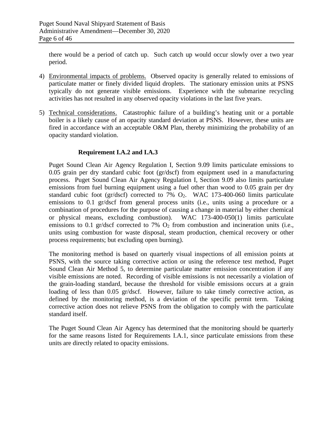there would be a period of catch up. Such catch up would occur slowly over a two year period.

- 4) Environmental impacts of problems. Observed opacity is generally related to emissions of particulate matter or finely divided liquid droplets. The stationary emission units at PSNS typically do not generate visible emissions. Experience with the submarine recycling activities has not resulted in any observed opacity violations in the last five years.
- 5) Technical considerations. Catastrophic failure of a building's heating unit or a portable boiler is a likely cause of an opacity standard deviation at PSNS. However, these units are fired in accordance with an acceptable O&M Plan, thereby minimizing the probability of an opacity standard violation.

#### **Requirement I.A.2 and I.A.3**

Puget Sound Clean Air Agency Regulation I, Section 9.09 limits particulate emissions to 0.05 grain per dry standard cubic foot (gr/dscf) from equipment used in a manufacturing process. Puget Sound Clean Air Agency Regulation I, Section 9.09 also limits particulate emissions from fuel burning equipment using a fuel other than wood to 0.05 grain per dry standard cubic foot (gr/dscf) corrected to 7%  $O_2$ . WAC 173-400-060 limits particulate emissions to 0.1 gr/dscf from general process units (i.e., units using a procedure or a combination of procedures for the purpose of causing a change in material by either chemical or physical means, excluding combustion). WAC 173-400-050(1) limits particulate emissions to 0.1 gr/dscf corrected to 7%  $O_2$  from combustion and incineration units (i.e., units using combustion for waste disposal, steam production, chemical recovery or other process requirements; but excluding open burning).

The monitoring method is based on quarterly visual inspections of all emission points at PSNS, with the source taking corrective action or using the reference test method, Puget Sound Clean Air Method 5, to determine particulate matter emission concentration if any visible emissions are noted. Recording of visible emissions is not necessarily a violation of the grain-loading standard, because the threshold for visible emissions occurs at a grain loading of less than 0.05 gr/dscf. However, failure to take timely corrective action, as defined by the monitoring method, is a deviation of the specific permit term. Taking corrective action does not relieve PSNS from the obligation to comply with the particulate standard itself.

The Puget Sound Clean Air Agency has determined that the monitoring should be quarterly for the same reasons listed for Requirements I.A.1, since particulate emissions from these units are directly related to opacity emissions.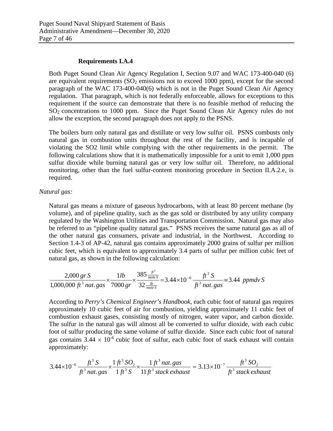#### **Requirements I.A.4**

Both Puget Sound Clean Air Agency Regulation I, Section 9.07 and WAC 173-400-040 (6) are equivalent requirements  $(SO<sub>2</sub>$  emissions not to exceed 1000 ppm), except for the second paragraph of the WAC 173-400-040(6) which is not in the Puget Sound Clean Air Agency regulation. That paragraph, which is not federally enforceable, allows for exceptions to this requirement if the source can demonstrate that there is no feasible method of reducing the SO2 concentrations to 1000 ppm. Since the Puget Sound Clean Air Agency rules do not allow the exception, the second paragraph does not apply to the PSNS.

The boilers burn only natural gas and distillate or very low sulfur oil. PSNS combusts only natural gas in combustion units throughout the rest of the facility, and is incapable of violating the SO2 limit while complying with the other requirements in the permit. The following calculations show that it is mathematically impossible for a unit to emit 1,000 ppm sulfur dioxide while burning natural gas or very low sulfur oil. Therefore, no additional monitoring, other than the fuel sulfur-content monitoring procedure in Section II.A.2.e, is required.

#### *Natural gas:*

Natural gas means a mixture of gaseous hydrocarbons, with at least 80 percent methane (by volume), and of pipeline quality, such as the gas sold or distributed by any utility company regulated by the Washington Utilities and Transportation Commission. Natural gas may also be referred to as "pipeline quality natural gas." PSNS receives the same natural gas as all of the other natural gas consumers, private and industrial, in the Northwest. According to Section 1.4-3 of AP-42, natural gas contains approximately 2000 grains of sulfur per million cubic feet, which is equivalent to approximately 3.4 parts of sulfur per million cubic feet of natural gas, as shown in the following calculation:

$$
\frac{2,000 \text{ gr S}}{1,000,000 \text{ ft}^3 \text{ nat. gas}} \times \frac{1 \text{ lb}}{7000 \text{ gr}} \times \frac{385 \frac{\text{ft}^3}{\text{mole S}}}{32 \frac{\text{lb}}{\text{mole S}}} = 3.44 \times 10^{-6} \frac{\text{ft}^3 \text{ S}}{\text{ft}^3 \text{ nat. gas}} = 3.44 \text{ ppmd}v \text{ S}
$$

According to *Perry's Chemical Engineer's Handbook*, each cubic foot of natural gas requires approximately 10 cubic feet of air for combustion, yielding approximately 11 cubic feet of combustion exhaust gases, consisting mostly of nitrogen, water vapor, and carbon dioxide. The sulfur in the natural gas will almost all be converted to sulfur dioxide, with each cubic foot of sulfur producing the same volume of sulfur dioxide. Since each cubic foot of natural gas contains  $3.44 \times 10^{-6}$  cubic foot of sulfur, each cubic foot of stack exhaust will contain approximately:

$$
3.44 \times 10^{-6} \frac{ft^3 S}{ft^3 n at. gas} \times \frac{1 ft^3 SO_2}{1 ft^3 S} \times \frac{1 ft^3 n at. gas}{11 ft^3 stack exhaust} = 3.13 \times 10^{-7} \frac{ft^3 SO_2}{ft^3 stack exhaust}
$$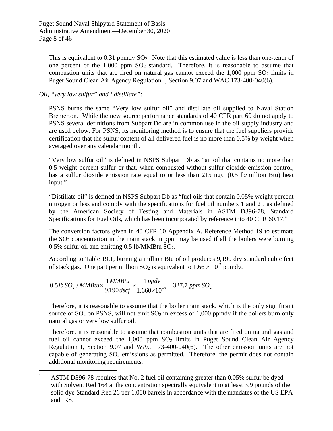This is equivalent to  $0.31$  ppmdv  $SO<sub>2</sub>$ . Note that this estimated value is less than one-tenth of one percent of the  $1,000$  ppm  $SO<sub>2</sub>$  standard. Therefore, it is reasonable to assume that combustion units that are fired on natural gas cannot exceed the  $1,000$  ppm  $SO<sub>2</sub>$  limits in Puget Sound Clean Air Agency Regulation I, Section 9.07 and WAC 173-400-040(6).

#### *Oil, "very low sulfur" and "distillate":*

PSNS burns the same "Very low sulfur oil" and distillate oil supplied to Naval Station Bremerton. While the new source performance standards of 40 CFR part 60 do not apply to PSNS several definitions from Subpart Dc are in common use in the oil supply industry and are used below. For PSNS, its monitoring method is to ensure that the fuel suppliers provide certification that the sulfur content of all delivered fuel is no more than 0.5% by weight when averaged over any calendar month.

"Very low sulfur oil" is defined in NSPS Subpart Db as "an oil that contains no more than 0.5 weight percent sulfur or that, when combusted without sulfur dioxide emission control, has a sulfur dioxide emission rate equal to or less than 215 ng/J (0.5 lb/million Btu) heat input."

"Distillate oil" is defined in NSPS Subpart Db as "fuel oils that contain 0.05% weight percent nitrogen or less and comply with the specifications for fuel oil numbers [1](#page-7-0) and  $2<sup>1</sup>$ , as defined by the American Society of Testing and Materials in ASTM D396-78, Standard Specifications for Fuel Oils, which has been incorporated by reference into 40 CFR 60.17."

The conversion factors given in 40 CFR 60 Appendix A, Reference Method 19 to estimate the  $SO<sub>2</sub>$  concentration in the main stack in ppm may be used if all the boilers were burning 0.5% sulfur oil and emitting 0.5 lb/MMBtu  $SO_2$ .

According to Table 19.1, burning a million Btu of oil produces 9,190 dry standard cubic feet of stack gas. One part per million  $SO_2$  is equivalent to  $1.66 \times 10^{-7}$  ppmdv.

$$
0.5 lb\,SO_2 / MMBtu \times \frac{1 MMBtu}{9,190 \,dscf} \times \frac{1\,ppdv}{1.660 \times 10^{-7}} = 327.7\,ppm\,SO_2
$$

Therefore, it is reasonable to assume that the boiler main stack, which is the only significant source of  $SO_2$  on PSNS, will not emit  $SO_2$  in excess of 1,000 ppmdy if the boilers burn only natural gas or very low sulfur oil.

Therefore, it is reasonable to assume that combustion units that are fired on natural gas and fuel oil cannot exceed the  $1,000$  ppm  $SO<sub>2</sub>$  limits in Puget Sound Clean Air Agency Regulation I, Section 9.07 and WAC 173-400-040(6). The other emission units are not capable of generating  $SO_2$  emissions as permitted. Therefore, the permit does not contain additional monitoring requirements.

<span id="page-7-0"></span><sup>&</sup>lt;sup>1</sup> ASTM D396-78 requires that No. 2 fuel oil containing greater than 0.05% sulfur be dyed with Solvent Red 164 at the concentration spectrally equivalent to at least 3.9 pounds of the solid dye Standard Red 26 per 1,000 barrels in accordance with the mandates of the US EPA and IRS.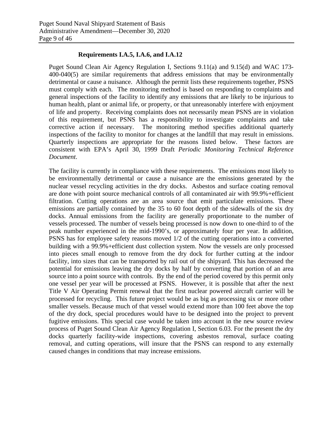#### **Requirements I.A.5, I.A.6, and I.A.12**

Puget Sound Clean Air Agency Regulation I, Sections 9.11(a) and 9.15(d) and WAC 173- 400-040(5) are similar requirements that address emissions that may be environmentally detrimental or cause a nuisance. Although the permit lists these requirements together, PSNS must comply with each. The monitoring method is based on responding to complaints and general inspections of the facility to identify any emissions that are likely to be injurious to human health, plant or animal life, or property, or that unreasonably interfere with enjoyment of life and property. Receiving complaints does not necessarily mean PSNS are in violation of this requirement, but PSNS has a responsibility to investigate complaints and take corrective action if necessary. The monitoring method specifies additional quarterly inspections of the facility to monitor for changes at the landfill that may result in emissions. Quarterly inspections are appropriate for the reasons listed below. These factors are consistent with EPA's April 30, 1999 Draft *Periodic Monitoring Technical Reference Document*.

The facility is currently in compliance with these requirements. The emissions most likely to be environmentally detrimental or cause a nuisance are the emissions generated by the nuclear vessel recycling activities in the dry docks. Asbestos and surface coating removal are done with point source mechanical controls of all contaminated air with 99.9%+efficient filtration. Cutting operations are an area source that emit particulate emissions. These emissions are partially contained by the 35 to 60 foot depth of the sidewalls of the six dry docks. Annual emissions from the facility are generally proportionate to the number of vessels processed. The number of vessels being processed is now down to one-third to of the peak number experienced in the mid-1990's, or approximately four per year. In addition, PSNS has for employee safety reasons moved 1/2 of the cutting operations into a converted building with a 99.9%+efficient dust collection system. Now the vessels are only processed into pieces small enough to remove from the dry dock for further cutting at the indoor facility, into sizes that can be transported by rail out of the shipyard. This has decreased the potential for emissions leaving the dry docks by half by converting that portion of an area source into a point source with controls. By the end of the period covered by this permit only one vessel per year will be processed at PSNS. However, it is possible that after the next Title V Air Operating Permit renewal that the first nuclear powered aircraft carrier will be processed for recycling. This future project would be as big as processing six or more other smaller vessels. Because much of that vessel would extend more than 100 feet above the top of the dry dock, special procedures would have to be designed into the project to prevent fugitive emissions. This special case would be taken into account in the new source review process of Puget Sound Clean Air Agency Regulation I, Section 6.03. For the present the dry docks quarterly facility-wide inspections, covering asbestos removal, surface coating removal, and cutting operations, will insure that the PSNS can respond to any externally caused changes in conditions that may increase emissions.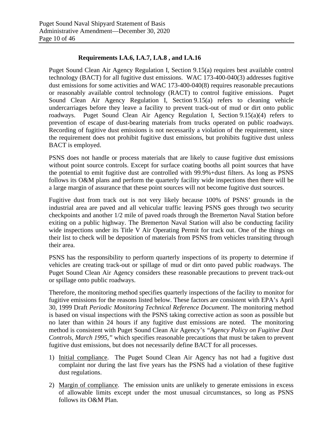#### **Requirements I.A.6, I.A.7, I.A.8 , and I.A.16**

Puget Sound Clean Air Agency Regulation I, Section 9.15(a) requires best available control technology (BACT) for all fugitive dust emissions. WAC 173-400-040(3) addresses fugitive dust emissions for some activities and WAC 173-400-040(8) requires reasonable precautions or reasonably available control technology (RACT) to control fugitive emissions. Puget Sound Clean Air Agency Regulation I, Section 9.15(a) refers to cleaning vehicle undercarriages before they leave a facility to prevent track-out of mud or dirt onto public roadways. Puget Sound Clean Air Agency Regulation I, Section 9.15(a)(4) refers to prevention of escape of dust-bearing materials from trucks operated on public roadways. Recording of fugitive dust emissions is not necessarily a violation of the requirement, since the requirement does not prohibit fugitive dust emissions, but prohibits fugitive dust unless BACT is employed.

PSNS does not handle or process materials that are likely to cause fugitive dust emissions without point source controls. Except for surface coating booths all point sources that have the potential to emit fugitive dust are controlled with 99.9%+dust filters. As long as PSNS follows its O&M plans and perform the quarterly facility wide inspections then there will be a large margin of assurance that these point sources will not become fugitive dust sources.

Fugitive dust from track out is not very likely because 100% of PSNS' grounds in the industrial area are paved and all vehicular traffic leaving PSNS goes through two security checkpoints and another 1/2 mile of paved roads through the Bremerton Naval Station before exiting on a public highway. The Bremerton Naval Station will also be conducting facility wide inspections under its Title V Air Operating Permit for track out. One of the things on their list to check will be deposition of materials from PSNS from vehicles transiting through their area.

PSNS has the responsibility to perform quarterly inspections of its property to determine if vehicles are creating track-out or spillage of mud or dirt onto paved public roadways. The Puget Sound Clean Air Agency considers these reasonable precautions to prevent track-out or spillage onto public roadways.

Therefore, the monitoring method specifies quarterly inspections of the facility to monitor for fugitive emissions for the reasons listed below. These factors are consistent with EPA's April 30, 1999 Draft *Periodic Monitoring Technical Reference Document*. The monitoring method is based on visual inspections with the PSNS taking corrective action as soon as possible but no later than within 24 hours if any fugitive dust emissions are noted. The monitoring method is consistent with Puget Sound Clean Air Agency's *"Agency Policy on Fugitive Dust Controls, March 1995,"* which specifies reasonable precautions that must be taken to prevent fugitive dust emissions, but does not necessarily define BACT for all processes.

- 1) Initial compliance. The Puget Sound Clean Air Agency has not had a fugitive dust complaint nor during the last five years has the PSNS had a violation of these fugitive dust regulations.
- 2) Margin of compliance. The emission units are unlikely to generate emissions in excess of allowable limits except under the most unusual circumstances, so long as PSNS follows its O&M Plan.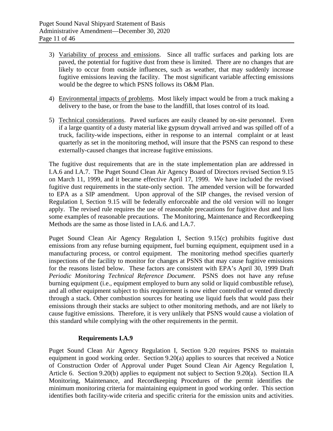- 3) Variability of process and emissions. Since all traffic surfaces and parking lots are paved, the potential for fugitive dust from these is limited. There are no changes that are likely to occur from outside influences, such as weather, that may suddenly increase fugitive emissions leaving the facility. The most significant variable affecting emissions would be the degree to which PSNS follows its O&M Plan.
- 4) Environmental impacts of problems. Most likely impact would be from a truck making a delivery to the base, or from the base to the landfill, that loses control of its load.
- 5) Technical considerations. Paved surfaces are easily cleaned by on-site personnel. Even if a large quantity of a dusty material like gypsum drywall arrived and was spilled off of a truck, facility-wide inspections, either in response to an internal complaint or at least quarterly as set in the monitoring method, will insure that the PSNS can respond to these externally-caused changes that increase fugitive emissions.

The fugitive dust requirements that are in the state implementation plan are addressed in I.A.6 and I.A.7. The Puget Sound Clean Air Agency Board of Directors revised Section 9.15 on March 11, 1999, and it became effective April 17, 1999. We have included the revised fugitive dust requirements in the state-only section. The amended version will be forwarded to EPA as a SIP amendment. Upon approval of the SIP changes, the revised version of Regulation I, Section 9.15 will be federally enforceable and the old version will no longer apply. The revised rule requires the use of reasonable precautions for fugitive dust and lists some examples of reasonable precautions. The Monitoring, Maintenance and Recordkeeping Methods are the same as those listed in I.A.6. and I.A.7.

Puget Sound Clean Air Agency Regulation I, Section 9.15(c) prohibits fugitive dust emissions from any refuse burning equipment, fuel burning equipment, equipment used in a manufacturing process, or control equipment. The monitoring method specifies quarterly inspections of the facility to monitor for changes at PSNS that may cause fugitive emissions for the reasons listed below. These factors are consistent with EPA's April 30, 1999 Draft *Periodic Monitoring Technical Reference Document*. PSNS does not have any refuse burning equipment (i.e., equipment employed to burn any solid or liquid combustible refuse), and all other equipment subject to this requirement is now either controlled or vented directly through a stack. Other combustion sources for heating use liquid fuels that would pass their emissions through their stacks are subject to other monitoring methods, and are not likely to cause fugitive emissions. Therefore, it is very unlikely that PSNS would cause a violation of this standard while complying with the other requirements in the permit.

#### **Requirements I.A.9**

Puget Sound Clean Air Agency Regulation I, Section 9.20 requires PSNS to maintain equipment in good working order. Section 9.20(a) applies to sources that received a Notice of Construction Order of Approval under Puget Sound Clean Air Agency Regulation I, Article 6. Section 9.20(b) applies to equipment not subject to Section 9.20(a). Section II.A Monitoring, Maintenance, and Recordkeeping Procedures of the permit identifies the minimum monitoring criteria for maintaining equipment in good working order. This section identifies both facility-wide criteria and specific criteria for the emission units and activities.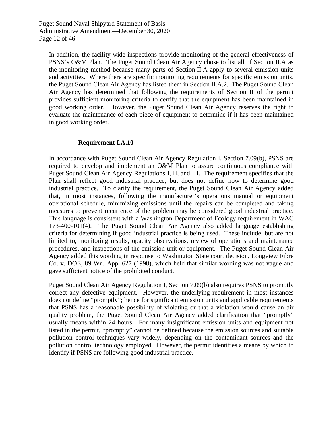In addition, the facility-wide inspections provide monitoring of the general effectiveness of PSNS's O&M Plan. The Puget Sound Clean Air Agency chose to list all of Section II.A as the monitoring method because many parts of Section II.A apply to several emission units and activities. Where there are specific monitoring requirements for specific emission units, the Puget Sound Clean Air Agency has listed them in Section II.A.2. The Puget Sound Clean Air Agency has determined that following the requirements of Section II of the permit provides sufficient monitoring criteria to certify that the equipment has been maintained in good working order. However, the Puget Sound Clean Air Agency reserves the right to evaluate the maintenance of each piece of equipment to determine if it has been maintained in good working order.

#### **Requirement I.A.10**

In accordance with Puget Sound Clean Air Agency Regulation I, Section 7.09(b), PSNS are required to develop and implement an O&M Plan to assure continuous compliance with Puget Sound Clean Air Agency Regulations I, II, and III. The requirement specifies that the Plan shall reflect good industrial practice, but does not define how to determine good industrial practice. To clarify the requirement, the Puget Sound Clean Air Agency added that, in most instances, following the manufacturer's operations manual or equipment operational schedule, minimizing emissions until the repairs can be completed and taking measures to prevent recurrence of the problem may be considered good industrial practice. This language is consistent with a Washington Department of Ecology requirement in WAC 173-400-101(4). The Puget Sound Clean Air Agency also added language establishing criteria for determining if good industrial practice is being used. These include, but are not limited to, monitoring results, opacity observations, review of operations and maintenance procedures, and inspections of the emission unit or equipment. The Puget Sound Clean Air Agency added this wording in response to Washington State court decision, Longview Fibre Co. v. DOE, 89 Wn. App. 627 (1998), which held that similar wording was not vague and gave sufficient notice of the prohibited conduct.

Puget Sound Clean Air Agency Regulation I, Section 7.09(b) also requires PSNS to promptly correct any defective equipment. However, the underlying requirement in most instances does not define "promptly"; hence for significant emission units and applicable requirements that PSNS has a reasonable possibility of violating or that a violation would cause an air quality problem, the Puget Sound Clean Air Agency added clarification that "promptly" usually means within 24 hours. For many insignificant emission units and equipment not listed in the permit, "promptly" cannot be defined because the emission sources and suitable pollution control techniques vary widely, depending on the contaminant sources and the pollution control technology employed. However, the permit identifies a means by which to identify if PSNS are following good industrial practice.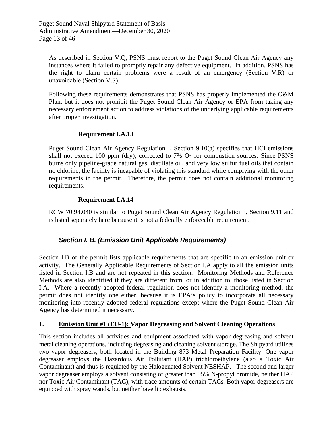As described in Section V.Q, PSNS must report to the Puget Sound Clean Air Agency any instances where it failed to promptly repair any defective equipment. In addition, PSNS has the right to claim certain problems were a result of an emergency (Section V.R) or unavoidable (Section V.S).

Following these requirements demonstrates that PSNS has properly implemented the O&M Plan, but it does not prohibit the Puget Sound Clean Air Agency or EPA from taking any necessary enforcement action to address violations of the underlying applicable requirements after proper investigation.

#### **Requirement I.A.13**

Puget Sound Clean Air Agency Regulation I, Section 9.10(a) specifies that HCl emissions shall not exceed 100 ppm (dry), corrected to 7%  $O<sub>2</sub>$  for combustion sources. Since PSNS burns only pipeline-grade natural gas, distillate oil, and very low sulfur fuel oils that contain no chlorine, the facility is incapable of violating this standard while complying with the other requirements in the permit. Therefore, the permit does not contain additional monitoring requirements.

#### **Requirement I.A.14**

RCW 70.94.040 is similar to Puget Sound Clean Air Agency Regulation I, Section 9.11 and is listed separately here because it is not a federally enforceable requirement.

#### *Section I. B. (Emission Unit Applicable Requirements)*

Section I.B of the permit lists applicable requirements that are specific to an emission unit or activity. The Generally Applicable Requirements of Section I.A apply to all the emission units listed in Section I.B and are not repeated in this section. Monitoring Methods and Reference Methods are also identified if they are different from, or in addition to, those listed in Section I.A. Where a recently adopted federal regulation does not identify a monitoring method, the permit does not identify one either, because it is EPA's policy to incorporate all necessary monitoring into recently adopted federal regulations except where the Puget Sound Clean Air Agency has determined it necessary.

#### **1. Emission Unit #1 (EU-1): Vapor Degreasing and Solvent Cleaning Operations**

This section includes all activities and equipment associated with vapor degreasing and solvent metal cleaning operations, including degreasing and cleaning solvent storage. The Shipyard utilizes two vapor degreasers, both located in the Building 873 Metal Preparation Facility. One vapor degreaser employs the Hazardous Air Pollutant (HAP) trichloroethylene (also a Toxic Air Contaminant) and thus is regulated by the Halogenated Solvent NESHAP. The second and larger vapor degreaser employs a solvent consisting of greater than 95% N-propyl bromide, neither HAP nor Toxic Air Contaminant (TAC), with trace amounts of certain TACs. Both vapor degreasers are equipped with spray wands, but neither have lip exhausts.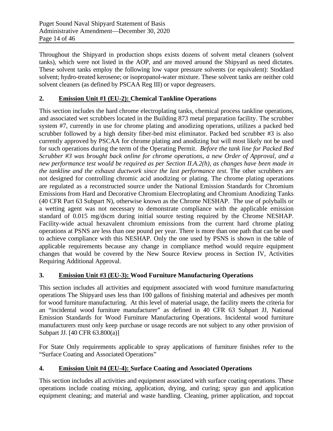Throughout the Shipyard in production shops exists dozens of solvent metal cleaners (solvent tanks), which were not listed in the AOP, and are moved around the Shipyard as need dictates. These solvent tanks employ the following low vapor pressure solvents (or equivalent): Stoddard solvent; hydro-treated kerosene; or isopropanol-water mixture. These solvent tanks are neither cold solvent cleaners (as defined by PSCAA Reg III) or vapor degreasers.

#### **2. Emission Unit #1 (EU-2): Chemical Tankline Operations**

This section includes the hard chrome electroplating tanks, chemical process tankline operations, and associated wet scrubbers located in the Building 873 metal preparation facility. The scrubber system #7, currently in use for chrome plating and anodizing operations, utilizes a packed bed scrubber followed by a high density fiber-bed mist eliminator. Packed bed scrubber #3 is also currently approved by PSCAA for chrome plating and anodizing but will most likely not be used for such operations during the term of the Operating Permit. *Before the tank line for Packed Bed Scrubber #3 was brought back online for chrome operations, a new Order of Approval, and a new performance test would be required as per Section II.A.2(h), as changes have been made in the tankline and the exhaust ductwork since the last performance test.* The other scrubbers are not designed for controlling chromic acid anodizing or plating. The chrome plating operations are regulated as a reconstructed source under the National Emission Standards for Chromium Emissions from Hard and Decorative Chromium Electroplating and Chromium Anodizing Tanks (40 CFR Part 63 Subpart N), otherwise known as the Chrome NESHAP. The use of polyballs or a wetting agent was not necessary to demonstrate compliance with the applicable emission standard of 0.015 mg/dscm during initial source testing required by the Chrome NESHAP. Facility-wide actual hexavalent chromium emissions from the current hard chrome plating operations at PSNS are less than one pound per year. There is more than one path that can be used to achieve compliance with this NESHAP. Only the one used by PSNS is shown in the table of applicable requirements because any change in compliance method would require equipment changes that would be covered by the New Source Review process in Section IV, Activities Requiring Additional Approval.

#### **3. Emission Unit #3 (EU-3): Wood Furniture Manufacturing Operations**

This section includes all activities and equipment associated with wood furniture manufacturing operations The Shipyard uses less than 100 gallons of finishing material and adhesives per month for wood furniture manufacturing. At this level of material usage, the facility meets the criteria for an "incidental wood furniture manufacturer" as defined in 40 CFR 63 Subpart JJ, National Emission Standards for Wood Furniture Manufacturing Operations. Incidental wood furniture manufacturers must only keep purchase or usage records are not subject to any other provision of Subpart JJ. [40 CFR 63.800(a)]

For State Only requirements applicable to spray applications of furniture finishes refer to the "Surface Coating and Associated Operations"

#### **4. Emission Unit #4 (EU-4): Surface Coating and Associated Operations**

This section includes all activities and equipment associated with surface coating operations. These operations include coating mixing, application, drying, and curing; spray gun and application equipment cleaning; and material and waste handling. Cleaning, primer application, and topcoat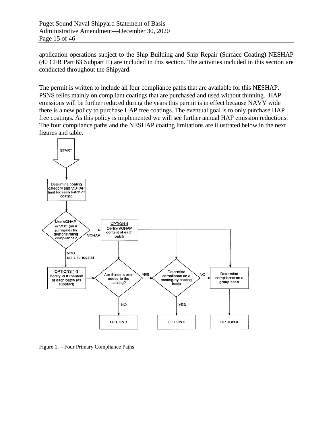application operations subject to the Ship Building and Ship Repair (Surface Coating) NESHAP (40 CFR Part 63 Subpart II) are included in this section. The activities included in this section are conducted throughout the Shipyard.

The permit is written to include all four compliance paths that are available for this NESHAP. PSNS relies mainly on compliant coatings that are purchased and used without thinning. HAP emissions will be further reduced during the years this permit is in effect because NAVY wide there is a new policy to purchase HAP free coatings. The eventual goal is to only purchase HAP free coatings. As this policy is implemented we will see further annual HAP emission reductions. The four compliance paths and the NESHAP coating limitations are illustrated below in the next figures and table.



Figure 1. – Four Primary Compliance Paths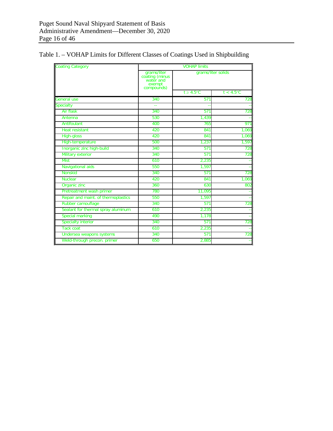| <b>Coating Category</b>             | <b>VOHAP limits</b>                                                |                    |                     |  |
|-------------------------------------|--------------------------------------------------------------------|--------------------|---------------------|--|
|                                     | grams/liter<br>coating (minus<br>water and<br>exempt<br>compounds) | grams/liter solids |                     |  |
|                                     |                                                                    | $t > 4.5$ °C       | $t < 4.5^{\circ}$ C |  |
| General use                         | 340                                                                | 571                | 728                 |  |
| Specialty                           | $-$                                                                |                    |                     |  |
| Air flask                           | 340                                                                | 571                | 728                 |  |
| Antenna                             | 530                                                                | 1.439              |                     |  |
| Antifoulant                         | 400                                                                | 765                | 971                 |  |
| <b>Heat resistant</b>               | 420                                                                | 841                | 1,069               |  |
| High-gloss                          | 420                                                                | 841                | 1,069               |  |
| High-temperature                    | 500                                                                | 1,237              | 1,597               |  |
| Inorganic zinc high-build           | 340                                                                | 571                | 728                 |  |
| Military exterior                   | 340                                                                | 571                | 728                 |  |
| <b>Mist</b>                         | 610                                                                | 2,235              |                     |  |
| <b>Navigational aids</b>            | 550                                                                | 1,597              |                     |  |
| <b>Nonskid</b>                      | 340                                                                | 571                | 728                 |  |
| <b>Nuclear</b>                      | 420                                                                | 841                | 1,069               |  |
| Organic zinc                        | 360                                                                | 630                | 802                 |  |
| Pretreatment wash primer            | 780                                                                | 11,095             |                     |  |
| Repair and maint. of thermoplastics | 550                                                                | 1.597              |                     |  |
| Rubber camouflage                   | 340                                                                | 571                | 728                 |  |
| Sealant for thermal spray aluminum  | 610                                                                | 2,235              |                     |  |
| <b>Special marking</b>              | 490                                                                | 1,178              |                     |  |
| <b>Specialty interior</b>           | 340                                                                | 571                | 728                 |  |
| <b>Tack coat</b>                    | 610                                                                | 2,235              |                     |  |
| Undersea weapons systems            | 340                                                                | 571                | 728                 |  |
| Weld-through precon. primer         | 650                                                                | 2,885              |                     |  |

Table 1. – VOHAP Limits for Different Classes of Coatings Used in Shipbuilding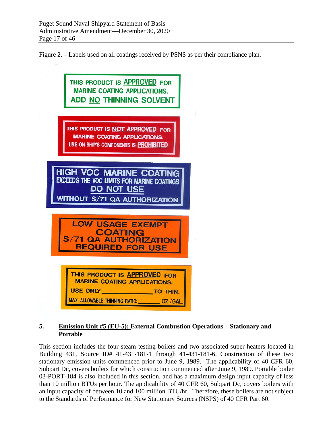Figure 2. – Labels used on all coatings received by PSNS as per their compliance plan.



#### **5. Emission Unit #5 (EU-5): External Combustion Operations – Stationary and Portable**

This section includes the four steam testing boilers and two associated super heaters located in Building 431, Source ID# 41-431-181-1 through 41-431-181-6. Construction of these two stationary emission units commenced prior to June 9, 1989. The applicability of 40 CFR 60, Subpart Dc, covers boilers for which construction commenced after June 9, 1989. Portable boiler 03-PORT-184 is also included in this section, and has a maximum design input capacity of less than 10 million BTUs per hour. The applicability of 40 CFR 60, Subpart Dc, covers boilers with an input capacity of between 10 and 100 million BTU/hr. Therefore, these boilers are not subject to the Standards of Performance for New Stationary Sources (NSPS) of 40 CFR Part 60.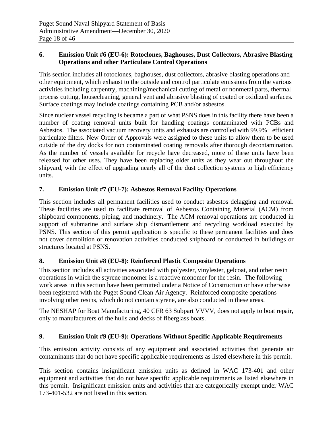#### **6. Emission Unit #6 (EU-6): Rotoclones, Baghouses, Dust Collectors, Abrasive Blasting Operations and other Particulate Control Operations**

This section includes all rotoclones, baghouses, dust collectors, abrasive blasting operations and other equipment, which exhaust to the outside and control particulate emissions from the various activities including carpentry, machining/mechanical cutting of metal or nonmetal parts, thermal process cutting, housecleaning, general vent and abrasive blasting of coated or oxidized surfaces. Surface coatings may include coatings containing PCB and/or asbestos.

Since nuclear vessel recycling is became a part of what PSNS does in this facility there have been a number of coating removal units built for handling coatings contaminated with PCBs and Asbestos. The associated vacuum recovery units and exhausts are controlled with 99.9%+ efficient particulate filters. New Order of Approvals were assigned to these units to allow them to be used outside of the dry docks for non contaminated coating removals after thorough decontamination. As the number of vessels available for recycle have decreased, more of these units have been released for other uses. They have been replacing older units as they wear out throughout the shipyard, with the effect of upgrading nearly all of the dust collection systems to high efficiency units.

#### **7. Emission Unit #7 (EU-7): Asbestos Removal Facility Operations**

This section includes all permanent facilities used to conduct asbestos delagging and removal. These facilities are used to facilitate removal of Asbestos Containing Material (ACM) from shipboard components, piping, and machinery. The ACM removal operations are conducted in support of submarine and surface ship dismantlement and recycling workload executed by PSNS. This section of this permit application is specific to these permanent facilities and does not cover demolition or renovation activities conducted shipboard or conducted in buildings or structures located at PSNS.

#### **8. Emission Unit #8 (EU-8): Reinforced Plastic Composite Operations**

This section includes all activities associated with polyester, vinylester, gelcoat, and other resin operations in which the styrene monomer is a reactive monomer for the resin. The following work areas in this section have been permitted under a Notice of Construction or have otherwise been registered with the Puget Sound Clean Air Agency. Reinforced composite operations involving other resins, which do not contain styrene, are also conducted in these areas.

The NESHAP for Boat Manufacturing, 40 CFR 63 Subpart VVVV, does not apply to boat repair, only to manufacturers of the hulls and decks of fiberglass boats.

#### **9. Emission Unit #9 (EU-9): Operations Without Specific Applicable Requirements**

This emission activity consists of any equipment and associated activities that generate air contaminants that do not have specific applicable requirements as listed elsewhere in this permit.

This section contains insignificant emission units as defined in WAC 173-401 and other equipment and activities that do not have specific applicable requirements as listed elsewhere in this permit. Insignificant emission units and activities that are categorically exempt under WAC 173-401-532 are not listed in this section.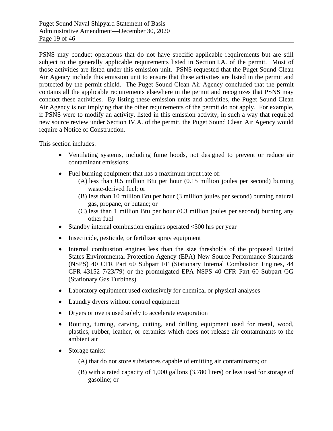PSNS may conduct operations that do not have specific applicable requirements but are still subject to the generally applicable requirements listed in Section I.A. of the permit. Most of those activities are listed under this emission unit. PSNS requested that the Puget Sound Clean Air Agency include this emission unit to ensure that these activities are listed in the permit and protected by the permit shield. The Puget Sound Clean Air Agency concluded that the permit contains all the applicable requirements elsewhere in the permit and recognizes that PSNS may conduct these activities. By listing these emission units and activities, the Puget Sound Clean Air Agency is not implying that the other requirements of the permit do not apply. For example, if PSNS were to modify an activity, listed in this emission activity, in such a way that required new source review under Section IV.A. of the permit, the Puget Sound Clean Air Agency would require a Notice of Construction.

This section includes:

- Ventilating systems, including fume hoods, not designed to prevent or reduce air contaminant emissions.
- Fuel burning equipment that has a maximum input rate of:
	- (A) less than 0.5 million Btu per hour (0.15 million joules per second) burning waste-derived fuel; or
	- (B) less than 10 million Btu per hour (3 million joules per second) burning natural gas, propane, or butane; or
	- (C) less than 1 million Btu per hour (0.3 million joules per second) burning any other fuel
- Standby internal combustion engines operated  $\leq 500$  hrs per year
- Insecticide, pesticide, or fertilizer spray equipment
- Internal combustion engines less than the size thresholds of the proposed United States Environmental Protection Agency (EPA) New Source Performance Standards (NSPS) 40 CFR Part 60 Subpart FF (Stationary Internal Combustion Engines, 44 CFR 43152 7/23/79) or the promulgated EPA NSPS 40 CFR Part 60 Subpart GG (Stationary Gas Turbines)
- Laboratory equipment used exclusively for chemical or physical analyses
- Laundry dryers without control equipment
- Dryers or ovens used solely to accelerate evaporation
- Routing, turning, carving, cutting, and drilling equipment used for metal, wood, plastics, rubber, leather, or ceramics which does not release air contaminants to the ambient air
- Storage tanks:
	- (A) that do not store substances capable of emitting air contaminants; or
	- (B) with a rated capacity of 1,000 gallons (3,780 liters) or less used for storage of gasoline; or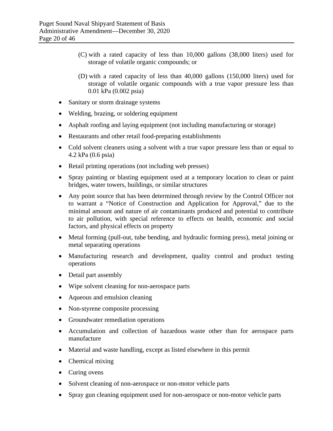- (C) with a rated capacity of less than 10,000 gallons (38,000 liters) used for storage of volatile organic compounds; or
- (D) with a rated capacity of less than 40,000 gallons (150,000 liters) used for storage of volatile organic compounds with a true vapor pressure less than 0.01 kPa (0.002 psia)
- Sanitary or storm drainage systems
- Welding, brazing, or soldering equipment
- Asphalt roofing and laying equipment (not including manufacturing or storage)
- Restaurants and other retail food-preparing establishments
- Cold solvent cleaners using a solvent with a true vapor pressure less than or equal to 4.2 kPa (0.6 psia)
- Retail printing operations (not including web presses)
- Spray painting or blasting equipment used at a temporary location to clean or paint bridges, water towers, buildings, or similar structures
- Any point source that has been determined through review by the Control Officer not to warrant a "Notice of Construction and Application for Approval," due to the minimal amount and nature of air contaminants produced and potential to contribute to air pollution, with special reference to effects on health, economic and social factors, and physical effects on property
- Metal forming (pull-out, tube bending, and hydraulic forming press), metal joining or metal separating operations
- Manufacturing research and development, quality control and product testing operations
- Detail part assembly
- Wipe solvent cleaning for non-aerospace parts
- Aqueous and emulsion cleaning
- Non-styrene composite processing
- Groundwater remediation operations
- Accumulation and collection of hazardous waste other than for aerospace parts manufacture
- Material and waste handling, except as listed elsewhere in this permit
- Chemical mixing
- Curing ovens
- Solvent cleaning of non-aerospace or non-motor vehicle parts
- Spray gun cleaning equipment used for non-aerospace or non-motor vehicle parts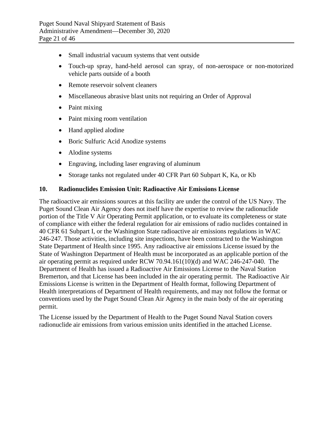- Small industrial vacuum systems that vent outside
- Touch-up spray, hand-held aerosol can spray, of non-aerospace or non-motorized vehicle parts outside of a booth
- Remote reservoir solvent cleaners
- Miscellaneous abrasive blast units not requiring an Order of Approval
- Paint mixing
- Paint mixing room ventilation
- Hand applied alodine
- Boric Sulfuric Acid Anodize systems
- Alodine systems
- Engraving, including laser engraving of aluminum
- Storage tanks not regulated under 40 CFR Part 60 Subpart K, Ka, or Kb

#### **10. Radionuclides Emission Unit: Radioactive Air Emissions License**

The radioactive air emissions sources at this facility are under the control of the US Navy. The Puget Sound Clean Air Agency does not itself have the expertise to review the radionuclide portion of the Title V Air Operating Permit application, or to evaluate its completeness or state of compliance with either the federal regulation for air emissions of radio nuclides contained in 40 CFR 61 Subpart I, or the Washington State radioactive air emissions regulations in WAC 246-247. Those activities, including site inspections, have been contracted to the Washington State Department of Health since 1995. Any radioactive air emissions License issued by the State of Washington Department of Health must be incorporated as an applicable portion of the air operating permit as required under RCW 70.94.161(10)(d) and WAC 246-247-040. The Department of Health has issued a Radioactive Air Emissions License to the Naval Station Bremerton, and that License has been included in the air operating permit. The Radioactive Air Emissions License is written in the Department of Health format, following Department of Health interpretations of Department of Health requirements, and may not follow the format or conventions used by the Puget Sound Clean Air Agency in the main body of the air operating permit.

The License issued by the Department of Health to the Puget Sound Naval Station covers radionuclide air emissions from various emission units identified in the attached License.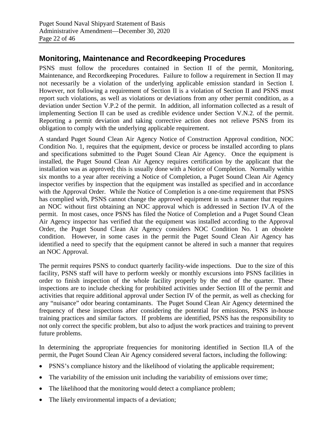# **Monitoring, Maintenance and Recordkeeping Procedures**

PSNS must follow the procedures contained in Section II of the permit, Monitoring, Maintenance, and Recordkeeping Procedures. Failure to follow a requirement in Section II may not necessarily be a violation of the underlying applicable emission standard in Section I. However, not following a requirement of Section II is a violation of Section II and PSNS must report such violations, as well as violations or deviations from any other permit condition, as a deviation under Section V.P.2 of the permit. In addition, all information collected as a result of implementing Section II can be used as credible evidence under Section V.N.2. of the permit. Reporting a permit deviation and taking corrective action does not relieve PSNS from its obligation to comply with the underlying applicable requirement.

A standard Puget Sound Clean Air Agency Notice of Construction Approval condition, NOC Condition No. 1, requires that the equipment, device or process be installed according to plans and specifications submitted to the Puget Sound Clean Air Agency. Once the equipment is installed, the Puget Sound Clean Air Agency requires certification by the applicant that the installation was as approved; this is usually done with a Notice of Completion. Normally within six months to a year after receiving a Notice of Completion, a Puget Sound Clean Air Agency inspector verifies by inspection that the equipment was installed as specified and in accordance with the Approval Order. While the Notice of Completion is a one-time requirement that PSNS has complied with, PSNS cannot change the approved equipment in such a manner that requires an NOC without first obtaining an NOC approval which is addressed in Section IV.A of the permit. In most cases, once PSNS has filed the Notice of Completion and a Puget Sound Clean Air Agency inspector has verified that the equipment was installed according to the Approval Order, the Puget Sound Clean Air Agency considers NOC Condition No. 1 an obsolete condition. However, in some cases in the permit the Puget Sound Clean Air Agency has identified a need to specify that the equipment cannot be altered in such a manner that requires an NOC Approval.

The permit requires PSNS to conduct quarterly facility-wide inspections. Due to the size of this facility, PSNS staff will have to perform weekly or monthly excursions into PSNS facilities in order to finish inspection of the whole facility properly by the end of the quarter. These inspections are to include checking for prohibited activities under Section III of the permit and activities that require additional approval under Section IV of the permit, as well as checking for any "nuisance" odor bearing contaminants. The Puget Sound Clean Air Agency determined the frequency of these inspections after considering the potential for emissions, PSNS in-house training practices and similar factors. If problems are identified, PSNS has the responsibility to not only correct the specific problem, but also to adjust the work practices and training to prevent future problems.

In determining the appropriate frequencies for monitoring identified in Section II.A of the permit, the Puget Sound Clean Air Agency considered several factors, including the following:

- PSNS's compliance history and the likelihood of violating the applicable requirement;
- The variability of the emission unit including the variability of emissions over time;
- The likelihood that the monitoring would detect a compliance problem;
- The likely environmental impacts of a deviation;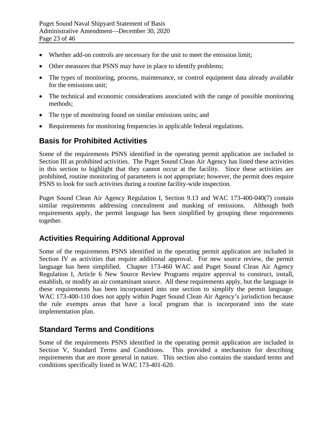- Whether add-on controls are necessary for the unit to meet the emission limit;
- Other measures that PSNS may have in place to identify problems;
- The types of monitoring, process, maintenance, or control equipment data already available for the emissions unit;
- The technical and economic considerations associated with the range of possible monitoring methods;
- The type of monitoring found on similar emissions units; and
- Requirements for monitoring frequencies in applicable federal regulations.

## **Basis for Prohibited Activities**

Some of the requirements PSNS identified in the operating permit application are included in Section III as prohibited activities. The Puget Sound Clean Air Agency has listed these activities in this section to highlight that they cannot occur at the facility. Since these activities are prohibited, routine monitoring of parameters is not appropriate; however, the permit does require PSNS to look for such activities during a routine facility-wide inspection.

Puget Sound Clean Air Agency Regulation I, Section 9.13 and WAC 173-400-040(7) contain similar requirements addressing concealment and masking of emissions. Although both requirements apply, the permit language has been simplified by grouping these requirements together.

# **Activities Requiring Additional Approval**

Some of the requirements PSNS identified in the operating permit application are included in Section IV as activities that require additional approval. For new source review, the permit language has been simplified. Chapter 173-460 WAC and Puget Sound Clean Air Agency Regulation I, Article 6 New Source Review Programs require approval to construct, install, establish, or modify an air contaminant source. All these requirements apply, but the language in these requirements has been incorporated into one section to simplify the permit language. WAC 173-400-110 does not apply within Puget Sound Clean Air Agency's jurisdiction because the rule exempts areas that have a local program that is incorporated into the state implementation plan.

# **Standard Terms and Conditions**

Some of the requirements PSNS identified in the operating permit application are included in Section V, Standard Terms and Conditions. This provided a mechanism for describing requirements that are more general in nature. This section also contains the standard terms and conditions specifically listed in WAC 173-401-620.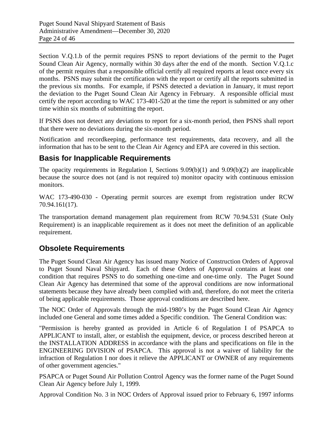Section V.Q.1.b of the permit requires PSNS to report deviations of the permit to the Puget Sound Clean Air Agency, normally within 30 days after the end of the month. Section V.Q.1.c of the permit requires that a responsible official certify all required reports at least once every six months. PSNS may submit the certification with the report or certify all the reports submitted in the previous six months. For example, if PSNS detected a deviation in January, it must report the deviation to the Puget Sound Clean Air Agency in February. A responsible official must certify the report according to WAC 173-401-520 at the time the report is submitted or any other time within six months of submitting the report.

If PSNS does not detect any deviations to report for a six-month period, then PSNS shall report that there were no deviations during the six-month period.

Notification and recordkeeping, performance test requirements, data recovery, and all the information that has to be sent to the Clean Air Agency and EPA are covered in this section.

# **Basis for Inapplicable Requirements**

The opacity requirements in Regulation I, Sections 9.09(b)(1) and 9.09(b)(2) are inapplicable because the source does not (and is not required to) monitor opacity with continuous emission monitors.

WAC 173-490-030 - Operating permit sources are exempt from registration under RCW 70.94.161(17).

The transportation demand management plan requirement from RCW 70.94.531 (State Only Requirement) is an inapplicable requirement as it does not meet the definition of an applicable requirement.

# **Obsolete Requirements**

The Puget Sound Clean Air Agency has issued many Notice of Construction Orders of Approval to Puget Sound Naval Shipyard. Each of these Orders of Approval contains at least one condition that requires PSNS to do something one-time and one-time only. The Puget Sound Clean Air Agency has determined that some of the approval conditions are now informational statements because they have already been complied with and, therefore, do not meet the criteria of being applicable requirements. Those approval conditions are described here.

The NOC Order of Approvals through the mid-1980's by the Puget Sound Clean Air Agency included one General and some times added a Specific condition. The General Condition was:

"Permission is hereby granted as provided in Article 6 of Regulation I of PSAPCA to APPLICANT to install, alter, or establish the equipment, device, or process described hereon at the INSTALLATION ADDRESS in accordance with the plans and specifications on file in the ENGINEERING DIVISION of PSAPCA. This approval is not a waiver of liability for the infraction of Regulation I nor does it relieve the APPLICANT or OWNER of any requirements of other government agencies."

PSAPCA or Puget Sound Air Pollution Control Agency was the former name of the Puget Sound Clean Air Agency before July 1, 1999.

Approval Condition No. 3 in NOC Orders of Approval issued prior to February 6, 1997 informs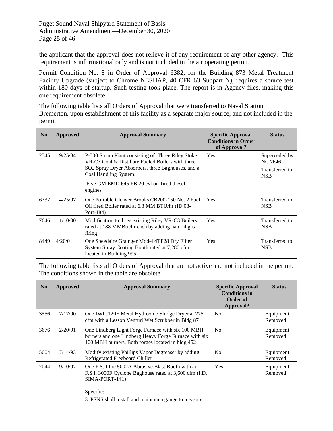the applicant that the approval does not relieve it of any requirement of any other agency. This requirement is informational only and is not included in the air operating permit.

Permit Condition No. 8 in Order of Approval 6382, for the Building 873 Metal Treatment Facility Upgrade (subject to Chrome NESHAP, 40 CFR 63 Subpart N), requires a source test within 180 days of startup. Such testing took place. The report is in Agency files, making this one requirement obsolete.

The following table lists all Orders of Approval that were transferred to Naval Station Bremerton, upon establishment of this facility as a separate major source, and not included in the permit.

| No.  | <b>Approved</b> | <b>Approval Summary</b>                                                                                                                                                                                                                        | <b>Specific Approval</b><br><b>Conditions in Order</b><br>of Approval? | <b>Status</b>                                            |
|------|-----------------|------------------------------------------------------------------------------------------------------------------------------------------------------------------------------------------------------------------------------------------------|------------------------------------------------------------------------|----------------------------------------------------------|
| 2545 | 9/25/84         | P-500 Steam Plant consisting of Three Riley Stoker<br>VR-C3 Coal & Distillate Fueled Boilers with three<br>SO2 Spray Dryer Absorbers, three Baghouses, and a<br>Coal Handling System.<br>Five GM EMD 645 FB 20 cyl oil-fired diesel<br>engines | Yes                                                                    | Superceded by<br>NC 7646<br>Transferred to<br><b>NSB</b> |
| 6732 | 4/25/97         | One Portable Cleaver Brooks CB200-150 No. 2 Fuel<br>Oil fired Boiler rated at 6.3 MM BTU/hr (ID 03-<br>Port-184)                                                                                                                               | Yes                                                                    | Transferred to<br><b>NSB</b>                             |
| 7646 | 1/10/00         | Modification to three existing Riley VR-C3 Boilers<br>rated at 188 MMBtu/hr each by adding natural gas<br>firing                                                                                                                               | Yes                                                                    | Transferred to<br><b>NSB</b>                             |
| 8449 | 4/20/01         | One Speedaire Grainger Model 4TF28 Dry Filter<br>System Spray Coating Booth rated at 7,280 cfm<br>located in Building 995.                                                                                                                     | <b>Yes</b>                                                             | Transferred to<br><b>NSB</b>                             |

The following table lists all Orders of Approval that are not active and not included in the permit. The conditions shown in the table are obsolete.

| <b>Approved</b> | <b>Approval Summary</b>                                                                                                                                        | <b>Specific Approval</b><br><b>Conditions in</b><br>Order of<br>Approval? | <b>Status</b>        |
|-----------------|----------------------------------------------------------------------------------------------------------------------------------------------------------------|---------------------------------------------------------------------------|----------------------|
| 7/17/90         | One JWI J120E Metal Hydroxide Sludge Dryer at 275<br>cfm with a Lesson Venturi Wet Scrubber in Bldg 871                                                        | N <sub>0</sub>                                                            | Equipment<br>Removed |
| 2/20/91         | One Lindberg Light Forge Furnace with six 100 MBH<br>burners and one Lindberg Heavy Forge Furnace with six<br>100 MBH burners. Both forges located in bldg 452 | N <sub>0</sub>                                                            | Equipment<br>Removed |
| 7/14/93         | Modify existing Phillips Vapor Degreaser by adding<br>Refrigerated Freeboard Chiller                                                                           | N <sub>0</sub>                                                            | Equipment<br>Removed |
| 9/10/97         | One F.S. I Inc 5002A Abrasive Blast Booth with an<br>F.S.I. 3000F Cyclone Baghouse rated at 3,600 cfm (I.D.<br>SIMA-PORT-141)<br>Specific:                     | Yes                                                                       | Equipment<br>Removed |
|                 |                                                                                                                                                                | 3. PSNS shall install and maintain a gauge to measure                     |                      |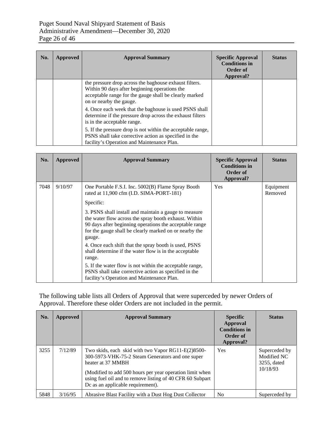| No. | Approved | <b>Approval Summary</b>                                                                                                                                                                      | <b>Specific Approval</b><br><b>Conditions in</b><br>Order of<br>Approval? | <b>Status</b> |
|-----|----------|----------------------------------------------------------------------------------------------------------------------------------------------------------------------------------------------|---------------------------------------------------------------------------|---------------|
|     |          | the pressure drop across the baghouse exhaust filters.<br>Within 90 days after beginning operations the<br>acceptable range for the gauge shall be clearly marked<br>on or nearby the gauge. |                                                                           |               |
|     |          | 4. Once each week that the baghouse is used PSNS shall<br>determine if the pressure drop across the exhaust filters<br>is in the acceptable range.                                           |                                                                           |               |
|     |          | 5. If the pressure drop is not within the acceptable range,<br>PSNS shall take corrective action as specified in the<br>facility's Operation and Maintenance Plan.                           |                                                                           |               |

| No.  | <b>Approved</b> | <b>Approval Summary</b>                                                                                                                                                                                                                       | <b>Specific Approval</b><br><b>Conditions in</b><br>Order of<br>Approval? | <b>Status</b>        |
|------|-----------------|-----------------------------------------------------------------------------------------------------------------------------------------------------------------------------------------------------------------------------------------------|---------------------------------------------------------------------------|----------------------|
| 7048 | 9/10/97         | One Portable F.S.I. Inc. 5002(B) Flame Spray Booth<br>rated at 11,900 cfm (I.D. SIMA-PORT-181)                                                                                                                                                | <b>Yes</b>                                                                | Equipment<br>Removed |
|      |                 | Specific:                                                                                                                                                                                                                                     |                                                                           |                      |
|      |                 | 3. PSNS shall install and maintain a gauge to measure<br>the water flow across the spray booth exhaust. Within<br>90 days after beginning operations the acceptable range<br>for the gauge shall be clearly marked on or nearby the<br>gauge. |                                                                           |                      |
|      |                 | 4. Once each shift that the spray booth is used, PSNS<br>shall determine if the water flow is in the acceptable<br>range.                                                                                                                     |                                                                           |                      |
|      |                 | 5. If the water flow is not within the acceptable range,<br>PSNS shall take corrective action as specified in the<br>facility's Operation and Maintenance Plan.                                                                               |                                                                           |                      |

The following table lists all Orders of Approval that were superceded by newer Orders of Approval. Therefore these older Orders are not included in the permit.

| No.  | Approved | <b>Approval Summary</b>                                                                                                                                                                                                                                                                     | <b>Specific</b><br><b>Approval</b><br><b>Conditions in</b><br>Order of<br>Approval? | <b>Status</b>                                           |
|------|----------|---------------------------------------------------------------------------------------------------------------------------------------------------------------------------------------------------------------------------------------------------------------------------------------------|-------------------------------------------------------------------------------------|---------------------------------------------------------|
| 3255 | 7/12/89  | Two skids, each skid with two Vapor $RG11-E(2)8500-$<br>300-5973-VHK-75-2 Steam Generators and one super<br>heater at 37 MMBH<br>(Modified to add 500 hours per year operation limit when<br>using fuel oil and to remove listing of 40 CFR 60 Subpart<br>Dc as an applicable requirement). | Yes                                                                                 | Superceded by<br>Modified NC<br>3255, dated<br>10/18/93 |
| 5848 | 3/16/95  | Abrasive Blast Facility with a Dust Hog Dust Collector                                                                                                                                                                                                                                      | N <sub>0</sub>                                                                      | Superceded by                                           |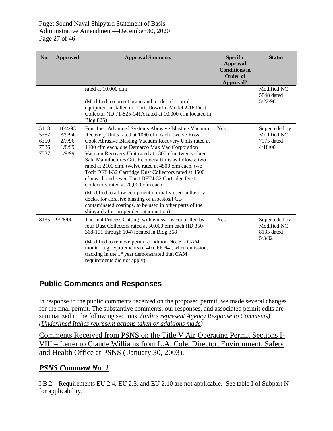| No.                                  | <b>Approved</b>                                 | <b>Approval Summary</b>                                                                                                                                                                                                                                                                                                                                                                                                                                                                                                                                                                                                                                                                                                                                          | <b>Specific</b><br><b>Approval</b><br><b>Conditions in</b><br>Order of<br>Approval? | <b>Status</b>                                         |
|--------------------------------------|-------------------------------------------------|------------------------------------------------------------------------------------------------------------------------------------------------------------------------------------------------------------------------------------------------------------------------------------------------------------------------------------------------------------------------------------------------------------------------------------------------------------------------------------------------------------------------------------------------------------------------------------------------------------------------------------------------------------------------------------------------------------------------------------------------------------------|-------------------------------------------------------------------------------------|-------------------------------------------------------|
|                                      |                                                 | rated at 10,000 cfm.<br>(Modified to correct brand and model of control<br>equipment installed to Torit Downflo Model 2-16 Dust<br>Collector (ID 71-825-141A rated at 10,000 cfm located in<br>Bldg 825)                                                                                                                                                                                                                                                                                                                                                                                                                                                                                                                                                         |                                                                                     | Modified NC<br>5848 dated<br>5/22/96                  |
| 5118<br>5352<br>6350<br>7536<br>7537 | 10/4/93<br>3/9/94<br>2/7/96<br>1/8/99<br>1/9/99 | Four Ipec Advanced Systems Abrasive Blasting Vacuum<br>Recovery Units rated at 1060 cfm each, twelve Ross<br>Cook Abrasive Blasting Vacuum Recovery Units rated at<br>1100 cfm each, one Demarco Max Vac Corporation<br>Vacuum Recovery Unit rated at 1300 cfm, twenty-three<br>Safe Manufactures Grit Recovery Units as follows: two<br>rated at 2100 cfm, twelve rated at 4500 cfm each, two<br>Torit DFT4-32 Cartridge Dust Collectors rated at 4500<br>cfm each and seven Torit DFT4-32 Cartridge Dust<br>Collectors rated at 20,000 cfm each.<br>(Modified to allow equipment normally used in the dry<br>docks, for abrasive blasting of asbestos/PCB<br>contaminated coatings, to be used in other parts of the<br>shipyard after proper decontamination) | Yes                                                                                 | Superceded by<br>Modified NC<br>7975 dated<br>4/18/00 |
| 8135                                 | 9/28/00                                         | Thermal Process Cutting with emissions controlled by<br>four Dust Collectors rated at 50,000 cfm each (ID 350-<br>368-101 through 104) located in Bldg 368<br>(Modified to remove permit condition No. 5. - CAM<br>monitoring requirements of 40 CFR 64, when emissions<br>tracking in the 1 <sup>st</sup> year demonstrated that CAM<br>requirements did not apply)                                                                                                                                                                                                                                                                                                                                                                                             | Yes                                                                                 | Superceded by<br>Modified NC<br>8135 dated<br>5/3/02  |

# **Public Comments and Responses**

In response to the public comments received on the proposed permit, we made several changes for the final permit. The substantive comments, our responses, and associated permit edits are summarized in the following sections. *(Italics represent Agency Response to Comments), (Underlined Italics represent actions taken or additions made)*

Comments Received from PSNS on the Title V Air Operating Permit Sections I-VIII – Letter to Claude Williams from L.A. Cole, Director, Environment, Safety and Health Office at PSNS ( January 30, 2003).

#### *PSNS Comment No. 1*

I.B.2. Requirements EU 2.4, EU 2.5, and EU 2.10 are not applicable. See table I of Subpart N for applicability.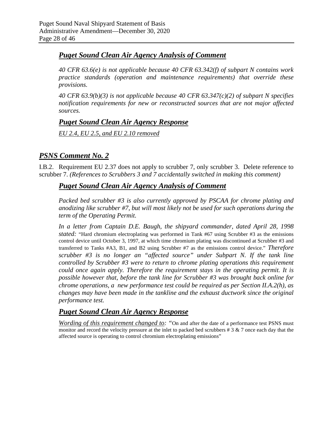### *Puget Sound Clean Air Agency Analysis of Comment*

*40 CFR 63.6(e) is not applicable because 40 CFR 63.342(f) of subpart N contains work practice standards (operation and maintenance requirements) that override these provisions.*

*40 CFR 63.9(b)(3) is not applicable because 40 CFR 63.347(c)(2) of subpart N specifies notification requirements for new or reconstructed sources that are not major affected sources.*

### *Puget Sound Clean Air Agency Response*

*EU 2.4, EU 2.5, and EU 2.10 removed*

## *PSNS Comment No. 2*

I.B.2. Requirement EU 2.37 does not apply to scrubber 7, only scrubber 3. Delete reference to scrubber 7. *(References to Scrubbers 3 and 7 accidentally switched in making this comment)*

### *Puget Sound Clean Air Agency Analysis of Comment*

*Packed bed scrubber #3 is also currently approved by PSCAA for chrome plating and anodizing like scrubber #7, but will most likely not be used for such operations during the term of the Operating Permit.* 

*In a letter from Captain D.E. Baugh, the shipyard commander, dated April 28, 1998 stated:* "Hard chromium electroplating was performed in Tank #67 using Scrubber #3 as the emissions control device until October 3, 1997, at which time chromium plating was discontinued at Scrubber #3 and transferred to Tanks #A3, B1, and B2 using Scrubber #7 as the emissions control device." *Therefore scrubber #3 is no longer an "affected source" under Subpart N. If the tank line controlled by Scrubber #3 were to return to chrome plating operations this requirement could once again apply. Therefore the requirement stays in the operating permit. It is possible however that, before the tank line for Scrubber #3 was brought back online for chrome operations, a new performance test could be required as per Section II.A.2(h), as changes may have been made in the tankline and the exhaust ductwork since the original performance test.* 

### *Puget Sound Clean Air Agency Response*

*Wording of this requirement changed to:* "On and after the date of a performance test PSNS must monitor and record the velocity pressure at the inlet to packed bed scrubbers  $\# 3 \& 7$  once each day that the affected source is operating to control chromium electroplating emissions"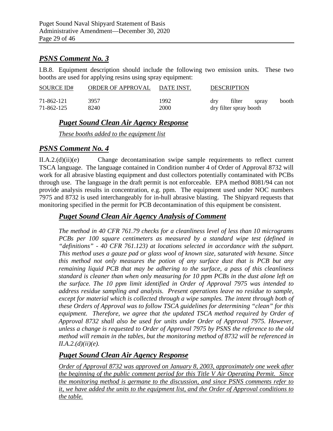#### *PSNS Comment No. 3*

I.B.8. Equipment description should include the following two emission units. These two booths are used for applying resins using spray equipment:

| SOURCE ID# | ORDER OF APPROVAL | DATE INST. |                        | <b>DESCRIPTION</b> |       |       |
|------------|-------------------|------------|------------------------|--------------------|-------|-------|
| 71-862-121 | 3957              | 1992       | drv                    | filter             | spray | booth |
| 71-862-125 | 8240              | 2000       | dry filter spray booth |                    |       |       |

# *Puget Sound Clean Air Agency Response*

*These booths added to the equipment list*

#### *PSNS Comment No. 4*

II.A.2.(d)(ii)(e) Change decontamination swipe sample requirements to reflect current TSCA language. The language contained in Condition number 4 of Order of Approval 8732 will work for all abrasive blasting equipment and dust collectors potentially contaminated with PCBs through use. The language in the draft permit is not enforceable. EPA method 8081/94 can not provide analysis results in concentration, e.g. ppm. The equipment used under NOC numbers 7975 and 8732 is used interchangeably for in-hull abrasive blasting. The Shipyard requests that monitoring specified in the permit for PCB decontamination of this equipment be consistent.

# *Puget Sound Clean Air Agency Analysis of Comment*

*The method in 40 CFR 761.79 checks for a cleanliness level of less than 10 micrograms PCBs per 100 square centimeters as measured by a standard wipe test (defined in "definitions" - 40 CFR 761.123) at locations selected in accordance with the subpart. This method uses a gauze pad or glass wool of known size, saturated with hexane. Since this method not only measures the potion of any surface dust that is PCB but any remaining liquid PCB that may be adhering to the surface, a pass of this cleanliness standard is cleaner than when only measuring for 10 ppm PCBs in the dust alone left on the surface. The 10 ppm limit identified in Order of Approval 7975 was intended to address residue sampling and analysis. Present operations leave no residue to sample, except for material which is collected through a wipe samples. The intent through both of these Orders of Approval was to follow TSCA guidelines for determining "clean" for this equipment. Therefore, we agree that the updated TSCA method required by Order of Approval 8732 shall also be used for units under Order of Approval 7975. However, unless a change is requested to Order of Approval 7975 by PSNS the reference to the old method will remain in the tables, but the monitoring method of 8732 will be referenced in II.A.2.(d)(ii)(e).*

#### *Puget Sound Clean Air Agency Response*

*Order of Approval 8732 was approved on January 8, 2003, approximately one week after the beginning of the public comment period for this Title V Air Operating Permit. Since the monitoring method is germane to the discussion, and since PSNS comments refer to it, we have added the units to the equipment list, and the Order of Approval conditions to the table.*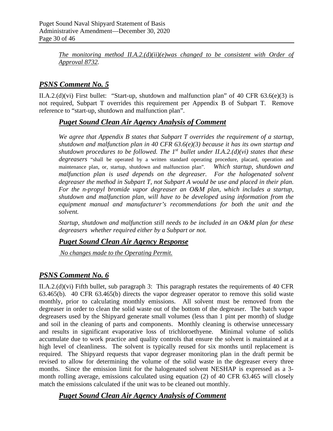*The monitoring method II.A.2.(d)(ii)(e)was changed to be consistent with Order of Approval 8732.*

# *PSNS Comment No. 5*

II.A.2.(d)(vi) First bullet: "Start-up, shutdown and malfunction plan" of 40 CFR 63.6(e)(3) is not required, Subpart T overrides this requirement per Appendix B of Subpart T. Remove reference to "start-up, shutdown and malfunction plan".

## *Puget Sound Clean Air Agency Analysis of Comment*

*We agree that Appendix B states that Subpart T overrides the requirement of a startup, shutdown and malfunction plan in 40 CFR 63.6(e)(3) because it has its own startup and shutdown procedures to be followed. The 1st bullet under II.A.2.(d)(vi) states that these degreasers* "shall be operated by a written standard operating procedure, placard, operation and maintenance plan, or, startup, shutdown and malfunction plan". *Which startup, shutdown and*  malfunction plan is used depends on the degreaser. For the halogenated solvent *degreaser the method in Subpart T, not Subpart A would be use and placed in their plan. For the n-propyl bromide vapor degreaser an O&M plan, which includes a startup, shutdown and malfunction plan, will have to be developed using information from the equipment manual and manufacturer's recommendations for both the unit and the solvent.*

*Startup, shutdown and malfunction still needs to be included in an O&M plan for these degreasers whether required either by a Subpart or not.*

### *Puget Sound Clean Air Agency Response*

*No changes made to the Operating Permit.*

# *PSNS Comment No. 6*

II.A.2.(d)(vi) Fifth bullet, sub paragraph 3: This paragraph restates the requirements of 40 CFR 63.465(b). 40 CFR 63.465(b) directs the vapor degreaser operator to remove this solid waste monthly, prior to calculating monthly emissions. All solvent must be removed from the degreaser in order to clean the solid waste out of the bottom of the degreaser. The batch vapor degreasers used by the Shipyard generate small volumes (less than 1 pint per month) of sludge and soil in the cleaning of parts and components. Monthly cleaning is otherwise unnecessary and results in significant evaporative loss of trichloroethyene. Minimal volume of solids accumulate due to work practice and quality controls that ensure the solvent is maintained at a high level of cleanliness. The solvent is typically reused for six months until replacement is required. The Shipyard requests that vapor degreaser monitoring plan in the draft permit be revised to allow for determining the volume of the solid waste in the degreaser every three months. Since the emission limit for the halogenated solvent NESHAP is expressed as a 3 month rolling average, emissions calculated using equation (2) of 40 CFR 63.465 will closely match the emissions calculated if the unit was to be cleaned out monthly.

### *Puget Sound Clean Air Agency Analysis of Comment*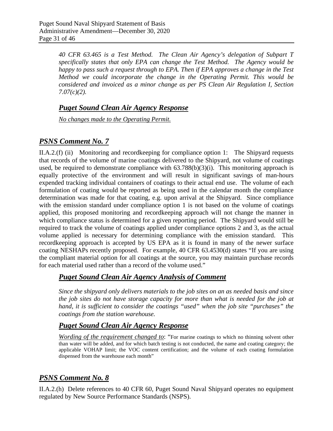*40 CFR 63.465 is a Test Method. The Clean Air Agency's delegation of Subpart T specifically states that only EPA can change the Test Method. The Agency would be happy to pass such a request through to EPA. Then if EPA approves a change in the Test Method we could incorporate the change in the Operating Permit. This would be considered and invoiced as a minor change as per PS Clean Air Regulation I, Section 7.07(c)(2).*

### *Puget Sound Clean Air Agency Response*

*No changes made to the Operating Permit.*

# *PSNS Comment No. 7*

II.A.2.(f) (ii) Monitoring and recordkeeping for compliance option 1: The Shipyard requests that records of the volume of marine coatings delivered to the Shipyard, not volume of coatings used, be required to demonstrate compliance with  $63.788(b)(3)(i)$ . This monitoring approach is equally protective of the environment and will result in significant savings of man-hours expended tracking individual containers of coatings to their actual end use. The volume of each formulation of coating would be reported as being used in the calendar month the compliance determination was made for that coating, e.g. upon arrival at the Shipyard. Since compliance with the emission standard under compliance option 1 is not based on the volume of coatings applied, this proposed monitoring and recordkeeping approach will not change the manner in which compliance status is determined for a given reporting period. The Shipyard would still be required to track the volume of coatings applied under compliance options 2 and 3, as the actual volume applied is necessary for determining compliance with the emission standard. This recordkeeping approach is accepted by US EPA as it is found in many of the newer surface coating NESHAPs recently proposed. For example, 40 CFR 63.4530(d) states "If you are using the compliant material option for all coatings at the source, you may maintain purchase records for each material used rather than a record of the volume used."

### *Puget Sound Clean Air Agency Analysis of Comment*

*Since the shipyard only delivers materials to the job sites on an as needed basis and since the job sites do not have storage capacity for more than what is needed for the job at hand, it is sufficient to consider the coatings "used" when the job site "purchases" the coatings from the station warehouse.*

# *Puget Sound Clean Air Agency Response*

*Wording of the requirement changed to*: "For marine coatings to which no thinning solvent other than water will be added, and for which batch testing is not conducted, the name and coating category; the applicable VOHAP limit; the VOC content certification; and the volume of each coating formulation dispensed from the warehouse each month"

# *PSNS Comment No. 8*

II.A.2.(h) Delete references to 40 CFR 60, Puget Sound Naval Shipyard operates no equipment regulated by New Source Performance Standards (NSPS).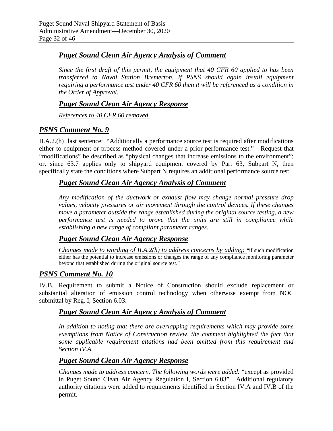## *Puget Sound Clean Air Agency Analysis of Comment*

*Since the first draft of this permit, the equipment that 40 CFR 60 applied to has been transferred to Naval Station Bremerton. If PSNS should again install equipment requiring a performance test under 40 CFR 60 then it will be referenced as a condition in the Order of Approval.*

#### *Puget Sound Clean Air Agency Response*

*References to 40 CFR 60 removed.*

## *PSNS Comment No. 9*

II.A.2.(h) last sentence: "Additionally a performance source test is required after modifications either to equipment or process method covered under a prior performance test." Request that "modifications" be described as "physical changes that increase emissions to the environment"; or, since 63.7 applies only to shipyard equipment covered by Part 63, Subpart N, then specifically state the conditions where Subpart N requires an additional performance source test.

## *Puget Sound Clean Air Agency Analysis of Comment*

*Any modification of the ductwork or exhaust flow may change normal pressure drop values, velocity pressures or air movement through the control devices. If these changes move a parameter outside the range established during the original source testing, a new performance test is needed to prove that the units are still in compliance while establishing a new range of compliant parameter ranges.*

### *Puget Sound Clean Air Agency Response*

*Changes made to wording of II.A.2(h) to address concerns by adding:* "if such modification either has the potential to increase emissions or changes the range of any compliance monitoring parameter beyond that established during the original source test."

#### *PSNS Comment No. 10*

IV.B. Requirement to submit a Notice of Construction should exclude replacement or substantial alteration of emission control technology when otherwise exempt from NOC submittal by Reg. I, Section 6.03.

### *Puget Sound Clean Air Agency Analysis of Comment*

In addition to noting that there are overlapping requirements which may provide some *exemptions from Notice of Construction review, the comment highlighted the fact that some applicable requirement citations had been omitted from this requirement and Section IV.A.*

### *Puget Sound Clean Air Agency Response*

*Changes made to address concern. The following words were added:* "except as provided in Puget Sound Clean Air Agency Regulation I, Section 6.03". Additional regulatory authority citations were added to requirements identified in Section IV.A and IV.B of the permit.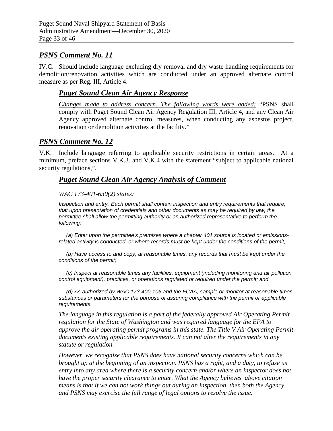# *PSNS Comment No. 11*

IV.C. Should include language excluding dry removal and dry waste handling requirements for demolition/renovation activities which are conducted under an approved alternate control measure as per Reg. III, Article 4.

#### *Puget Sound Clean Air Agency Response*

*Changes made to address concern. The following words were added:* "PSNS shall comply with Puget Sound Clean Air Agency Regulation III, Article 4, and any Clean Air Agency approved alternate control measures, when conducting any asbestos project, renovation or demolition activities at the facility."

#### *PSNS Comment No. 12*

V.K. Include language referring to applicable security restrictions in certain areas. At a minimum, preface sections V.K.3. and V.K.4 with the statement "subject to applicable national security regulations,".

#### *Puget Sound Clean Air Agency Analysis of Comment*

#### *WAC 173-401-630(2) states:*

*Inspection and entry. Each permit shall contain inspection and entry requirements that require, that upon presentation of credentials and other documents as may be required by law, the permittee shall allow the permitting authority or an authorized representative to perform the following:*

 *(a) Enter upon the permittee's premises where a chapter 401 source is located or emissionsrelated activity is conducted, or where records must be kept under the conditions of the permit;*

 *(b) Have access to and copy, at reasonable times, any records that must be kept under the conditions of the permit;*

 *(c) Inspect at reasonable times any facilities, equipment (including monitoring and air pollution control equipment), practices, or operations regulated or required under the permit; and*

 *(d) As authorized by WAC [173-400-105](http://www.leg.wa.gov/wac/index.cfm?fuseaction=section§ion=173-400-105) and the FCAA, sample or monitor at reasonable times substances or parameters for the purpose of assuring compliance with the permit or applicable requirements.*

*The language in this regulation is a part of the federally approved Air Operating Permit regulation for the State of Washington and was required language for the EPA to approve the air operating permit programs in this state. The Title V Air Operating Permit documents existing applicable requirements. It can not alter the requirements in any statute or regulation.*

*However, we recognize that PSNS does have national security concerns which can be brought up at the beginning of an inspection. PSNS has a right, and a duty, to refuse us entry into any area where there is a security concern and/or where an inspector does not have the proper security clearance to enter. What the Agency believes above citation means is that if we can not work things out during an inspection, then both the Agency and PSNS may exercise the full range of legal options to resolve the issue.*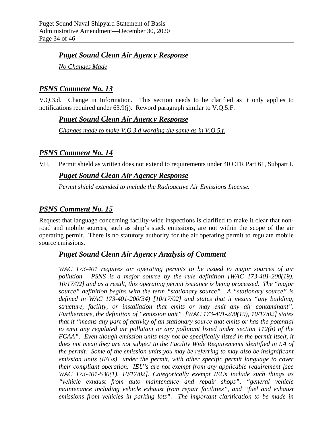#### *Puget Sound Clean Air Agency Response*

*No Changes Made*

# *PSNS Comment No. 13*

V.Q.3.d. Change in Information. This section needs to be clarified as it only applies to notifications required under 63.9(j). Reword paragraph similar to V.Q.5.F.

### *Puget Sound Clean Air Agency Response*

*Changes made to make V.Q.3.d wording the same as in V.Q.5.f.*

# *PSNS Comment No. 14*

VII. Permit shield as written does not extend to requirements under 40 CFR Part 61, Subpart I.

### *Puget Sound Clean Air Agency Response*

*Permit shield extended to include the Radioactive Air Emissions License.*

# *PSNS Comment No. 15*

Request that language concerning facility-wide inspections is clarified to make it clear that nonroad and mobile sources, such as ship's stack emissions, are not within the scope of the air operating permit. There is no statutory authority for the air operating permit to regulate mobile source emissions.

### *Puget Sound Clean Air Agency Analysis of Comment*

*WAC 173-401 requires air operating permits to be issued to major sources of air pollution. PSNS is a major source by the rule definition [WAC 173-401-200(19), 10/17/02] and as a result, this operating permit issuance is being processed. The "major source" definition begins with the term "stationary source". A "stationary source" is defined in WAC 173-401-200(34) [10/17/02] and states that it means "any building, structure, facility, or installation that emits or may emit any air contaminant". Furthermore, the definition of "emission unit" [WAC 173-401-200(19), 10/17/02] states that it "means any part of activity of an stationary source that emits or has the potential to emit any regulated air pollutant or any pollutant listed under section 112(b) of the FCAA". Even though emission units may not be specifically listed in the permit itself, it does not mean they are not subject to the Facility Wide Requirements identified in I.A of the permit. Some of the emission units you may be referring to may also be insignificant emission units (IEUs) under the permit, with other specific permit language to cover their compliant operation. IEU's are not exempt from any applicable requirement [see WAC 173-401-530(1), 10/17/02]. Categorically exempt IEUs include such things as "vehicle exhaust from auto maintenance and repair shops", "general vehicle maintenance including vehicle exhaust from repair facilities", and "fuel and exhaust emissions from vehicles in parking lots". The important clarification to be made in*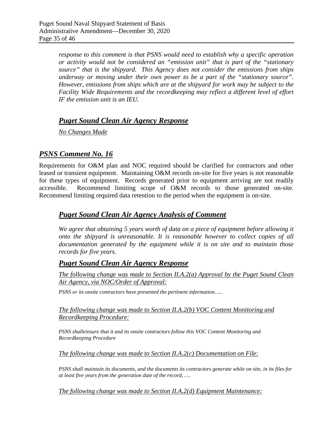*response to this comment is that PSNS would need to establish why a specific operation or activity would not be considered an "emission unit" that is part of the "stationary source" that is the shipyard. This Agency does not consider the emissions from ships underway or moving under their own power to be a part of the "stationary source". However, emissions from ships which are at the shipyard for work may be subject to the Facility Wide Requirements and the recordkeeping may reflect a different level of effort IF the emission unit is an IEU.* 

### *Puget Sound Clean Air Agency Response*

*No Changes Made*

# *PSNS Comment No. 16*

Requirements for O&M plan and NOC required should be clarified for contractors and other leased or transient equipment. Maintaining O&M records on-site for five years is not reasonable for these types of equipment. Records generated prior to equipment arriving are not readily accessible. Recommend limiting scope of O&M records to those generated on-site. Recommend limiting required data retention to the period when the equipment is on-site.

#### *Puget Sound Clean Air Agency Analysis of Comment*

*We agree that obtaining 5 years worth of data on a piece of equipment before allowing it onto the shipyard is unreasonable. It is reasonable however to collect copies of all documentation generated by the equipment while it is on site and to maintain those records for five years.*

#### *Puget Sound Clean Air Agency Response*

*The following change was made to Section II.A.2(a) Approval by the Puget Sound Clean Air Agency, via NOC/Order of Approval:*

*PSNS or its onsite contractors have presented the pertinent information…..*

#### *The following change was made to Section II.A.2(b) VOC Content Monitoring and Recordkeeping Procedure:*

*PSNS shalleinsure that it and its onsite contractors follow this VOC Content Monitoring and Recordkeeping Procedure*

*The following change was made to Section II.A.2(c) Documentation on File:*

*PSNS shall maintain its documents, and the documents its contractors generate while on site, in its files for at least five years from the generation date of the record, ….*

*The following change was made to Section II.A.2(d) Equipment Maintenance:*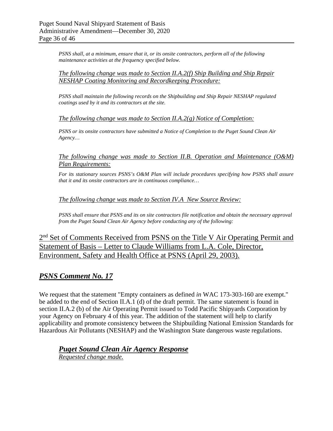*PSNS shall, at a minimum, ensure that it, or its onsite contractors, perform all of the following maintenance activities at the frequency specified below.*

#### *The following change was made to Section II.A.2(f) Ship Building and Ship Repair NESHAP Coating Monitoring and Recordkeeping Procedure:*

*PSNS shall maintain the following records on the Shipbuilding and Ship Repair NESHAP regulated coatings used by it and its contractors at the site.*

#### *The following change was made to Section II.A.2(g) Notice of Completion:*

*PSNS or its onsite contractors have submitted a Notice of Completion to the Puget Sound Clean Air Agency…*

#### *The following change was made to Section II.B. Operation and Maintenance (O&M) Plan Requirements:*

*For its stationary sources PSNS's O&M Plan will include procedures specifying how PSNS shall assure that it and its onsite contractors are in continuous compliance…*

#### *The following change was made to Section IV.A New Source Review:*

*PSNS shall ensure that PSNS and its on site contractors file notification and obtain the necessary approval from the Puget Sound Clean Air Agency before conducting any of the following:* 

# 2<sup>nd</sup> Set of Comments Received from PSNS on the Title V Air Operating Permit and Statement of Basis – Letter to Claude Williams from L.A. Cole, Director, Environment, Safety and Health Office at PSNS (April 29, 2003).

#### *PSNS Comment No. 17*

We request that the statement "Empty containers as defined *in* WAC 173-303-160 are exempt." be added to the end of Section II.A.1 (d) of the draft permit. The same statement is found in section II.A.2 (b) of the Air Operating Permit issued to Todd Pacific Shipyards Corporation by your Agency on February 4 of this year. The addition of the statement will help to clarify applicability and promote consistency between the Shipbuilding National Emission Standards for Hazardous Air Pollutants (NESHAP) and the Washington State dangerous waste regulations.

# *Puget Sound Clean Air Agency Response*

*Requested change made.*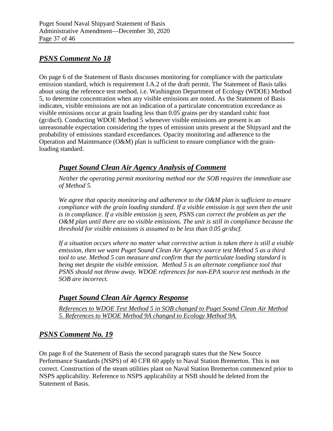# *PSNS Comment No 18*

On page 6 of the Statement of Basis discusses monitoring for compliance with the particulate emission standard, which is requirement I.A.2 of the draft permit. The Statement of Basis talks about using the reference test method, i.e. Washington Department of Ecology (WDOE) Method 5, to determine concentration when any visible emissions are noted. As the Statement of Basis indicates, visible emissions are not an indication of a particulate concentration exceedance as visible emissions occur at grain loading less than 0.05 grains per dry standard cubic foot (gr/dscf). Conducting WDOE Method 5 whenever visible emissions are present is an unreasonable expectation considering the types of emission units present at the Shipyard and the probability of emissions standard exceedances. Opacity monitoring and adherence to the Operation and Maintenance (O&M) plan is sufficient to ensure compliance with the grainloading standard.

# *Puget Sound Clean Air Agency Analysis of Comment*

*Neither the operating permit monitoring method nor the SOB requires the immediate use of Method 5.* 

*We agree that opacity monitoring and adherence to the O&M plan is sufficient to ensure compliance with the grain loading standard. If a visible emission is not seen then the unit is in compliance. If a visible emission is seen, PSNS can correct the problem as per the O&M plan until there are no visible emissions. The unit is still in compliance because the threshold for visible emissions is assumed to be less than 0.05 gr/dscf.* 

*If a situation occurs where no matter what corrective action is taken there is still a visible emission, then we want Puget Sound Clean Air Agency source test Method 5 as a third tool to use. Method 5 can measure and confirm that the particulate loading standard is being met despite the visible emission. Method 5 is an alternate compliance tool that PSNS should not throw away. WDOE references for non-EPA source test methods in the SOB are incorrect.* 

### *Puget Sound Clean Air Agency Response*

*References to WDOE Test Method 5 in SOB changed to Puget Sound Clean Air Method 5. References to WDOE Method 9A changed to Ecology Method 9A.*

# *PSNS Comment No. 19*

On page 8 of the Statement of Basis the second paragraph states that the New Source Performance Standards (NSPS) of 40 CFR 60 apply to Naval Station Bremerton. This is not correct. Construction of the steam utilities plant on Naval Station Bremerton commenced prior to NSPS applicability. Reference to NSPS applicability at NSB should be deleted from the Statement of Basis.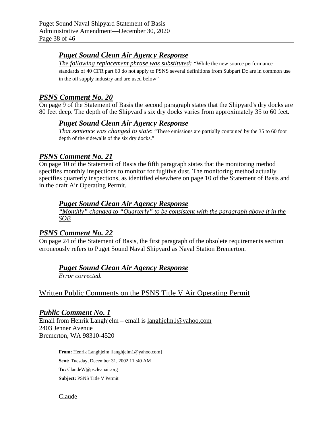### *Puget Sound Clean Air Agency Response*

*The following replacement phrase was substituted: "*While the new source performance standards of 40 CFR part 60 do not apply to PSNS several definitions from Subpart Dc are in common use in the oil supply industry and are used below"

### *PSNS Comment No. 20*

On page 9 of the Statement of Basis the second paragraph states that the Shipyard's dry docks are 80 feet deep. The depth of the Shipyard's six dry docks varies from approximately 35 to 60 feet.

### *Puget Sound Clean Air Agency Response*

*That sentence was changed to state*: "These emissions are partially contained by the 35 to 60 foot depth of the sidewalls of the six dry docks."

### *PSNS Comment No. 21*

On page 10 of the Statement of Basis the fifth paragraph states that the monitoring method specifies monthly inspections to monitor for fugitive dust. The monitoring method actually specifies quarterly inspections, as identified elsewhere on page 10 of the Statement of Basis and in the draft Air Operating Permit.

## *Puget Sound Clean Air Agency Response*

*"Monthly" changed to "Quarterly" to be consistent with the paragraph above it in the SOB*

### *PSNS Comment No. 22*

On page 24 of the Statement of Basis, the first paragraph of the obsolete requirements section erroneously refers to Puget Sound Naval Shipyard as Naval Station Bremerton.

### *Puget Sound Clean Air Agency Response*

*Error corrected.*

# Written Public Comments on the PSNS Title V Air Operating Permit

#### *Public Comment No. 1*

Email from Henrik Langhjelm – email is langhjelm1@yahoo.com 2403 Jenner Avenue Bremerton, WA 98310-4520

> **From:** Henrik Langhjelm [langhjelm1@yahoo.com] **Sent:** Tuesday, December 31, 2002 11 :40 AM **To:** ClaudeW@pscleanair.org **Subject:** PSNS Title V Permit

Claude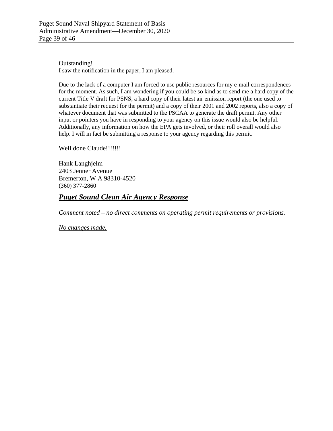Outstanding! I saw the notification in the paper, I am pleased.

Due to the lack of a computer I am forced to use public resources for my e-mail correspondences for the moment. As such, I am wondering if you could be so kind as to send me a hard copy of the current Title V draft for PSNS, a hard copy of their latest air emission report (the one used to substantiate their request for the permit) and a copy of their 2001 and 2002 reports, also a copy of whatever document that was submitted to the PSCAA to generate the draft permit. Any other input or pointers you have in responding to your agency on this issue would also be helpful. Additionally, any information on how the EPA gets involved, or their roll overall would also help. I will in fact be submitting a response to your agency regarding this permit.

Well done Claude!!!!!!!!

Hank Langhjelm 2403 Jenner Avenue Bremerton, W A 98310-4520 (360) 377-2860

#### *Puget Sound Clean Air Agency Response*

*Comment noted – no direct comments on operating permit requirements or provisions.*

*No changes made.*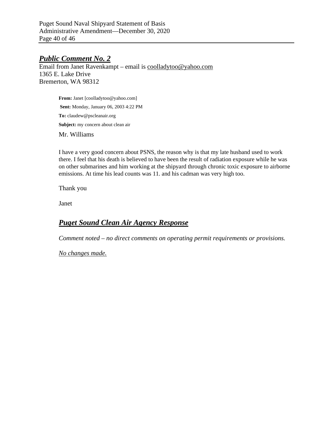Puget Sound Naval Shipyard Statement of Basis Administrative Amendment—December 30, 2020 Page 40 of 46

#### *Public Comment No. 2*

Email from Janet Ravenkampt – email is [coolladytoo@yahoo.com](mailto:coolladytoo@yahoo.com) 1365 E. Lake Drive Bremerton, WA 98312

> From: Janet [coolladytoo@yahoo.com] **Sent:** Monday, January 06, 2003 4:22 PM **To:** claudew@pscleanair.org Subject: my concern about clean air Mr. Williams

I have a very good concern about PSNS, the reason why is that my late husband used to work there. I feel that his death is believed to have been the result of radiation exposure while he was on other submarines and him working at the shipyard through chronic toxic exposure to airborne emissions. At time his lead counts was 11. and his cadman was very high too.

Thank you

Janet

# *Puget Sound Clean Air Agency Response*

*Comment noted – no direct comments on operating permit requirements or provisions.*

*No changes made.*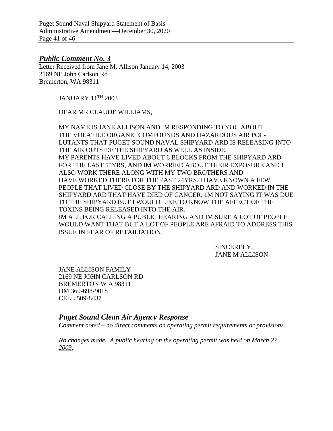Puget Sound Naval Shipyard Statement of Basis Administrative Amendment—December 30, 2020 Page 41 of 46

#### *Public Comment No. 3*

Letter Received from Jane M. Allison January 14, 2003 2169 NE John Carlson Rd Bremerton, WA 98311

JANUARY 11TH 2003

DEAR MR CLAUDE WILLIAMS,

MY NAME IS JANE ALLISON AND IM RESPONDING TO YOU ABOUT THE VOLATILE ORGANIC COMPOUNDS AND HAZARDOUS AIR POL-LUTANTS THAT PUGET SOUND NAVAL SHIPYARD ARD IS RELEASING INTO THE AIR OUTSIDE THE SHIPYARD AS WELL AS INSIDE. MY PARENTS HAVE LIVED ABOUT 6 BLOCKS FROM THE SHIPYARD ARD FOR THE LAST 55YRS, AND IM WORRIED ABOUT THEIR EXPOSURE AND I ALSO WORK THERE ALONG WITH MY TWO BROTHERS AND HAVE WORKED THERE FOR THE PAST 24YRS. I HAVE KNOWN A FEW PEOPLE THAT LIVED CLOSE BY THE SHIPYARD ARD AND WORKED IN THE SHIPYARD ARD THAT HAVE DIED OF CANCER. 1M NOT SAYING IT WAS DUE TO THE SHIPYARD BUT I WOULD LIKE TO KNOW THE AFFECT OF THE TOXINS BEING RELEASED INTO THE AIR. IM ALL FOR CALLING A PUBLIC HEARING AND IM SURE A LOT OF PEOPLE

WOULD WANT THAT BUT A LOT OF PEOPLE ARE AFRAID TO ADDRESS THIS ISSUE IN FEAR OF RETAILIATION.

> SINCERELY, JANE M ALLISON

JANE ALLISON FAMILY 2169 NE JOHN CARLSON RD BREMERTON W A 98311 HM 360-698-9018 CELL 509-8437

*Puget Sound Clean Air Agency Response*

*Comment noted – no direct comments on operating permit requirements or provisions.*

*No changes made. A public hearing on the operating permit was held on March 27, 2003.*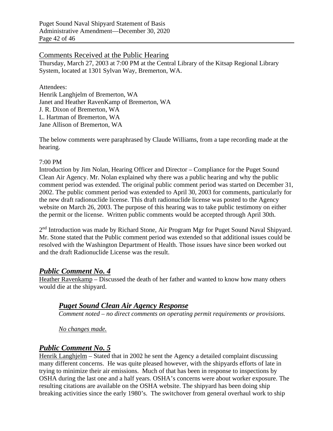#### Comments Received at the Public Hearing

Thursday, March 27, 2003 at 7:00 PM at the Central Library of the Kitsap Regional Library System, located at 1301 Sylvan Way, Bremerton, WA.

Attendees:

Henrik Langhjelm of Bremerton, WA Janet and Heather RavenKamp of Bremerton, WA J. R. Dixon of Bremerton, WA L. Hartman of Bremerton, WA Jane Allison of Bremerton, WA

The below comments were paraphrased by Claude Williams, from a tape recording made at the hearing.

#### 7:00 PM

Introduction by Jim Nolan, Hearing Officer and Director – Compliance for the Puget Sound Clean Air Agency. Mr. Nolan explained why there was a public hearing and why the public comment period was extended. The original public comment period was started on December 31, 2002. The public comment period was extended to April 30, 2003 for comments, particularly for the new draft radionuclide license. This draft radionuclide license was posted to the Agency website on March 26, 2003. The purpose of this hearing was to take public testimony on either the permit or the license. Written public comments would be accepted through April 30th.

2<sup>nd</sup> Introduction was made by Richard Stone, Air Program Mgr for Puget Sound Naval Shipyard. Mr. Stone stated that the Public comment period was extended so that additional issues could be resolved with the Washington Department of Health. Those issues have since been worked out and the draft Radionuclide License was the result.

### *Public Comment No. 4*

Heather Ravenkamp – Discussed the death of her father and wanted to know how many others would die at the shipyard.

### *Puget Sound Clean Air Agency Response*

*Comment noted – no direct comments on operating permit requirements or provisions.*

*No changes made.* 

# *Public Comment No. 5*

Henrik Langhjelm – Stated that in 2002 he sent the Agency a detailed complaint discussing many different concerns. He was quite pleased however, with the shipyards efforts of late in trying to minimize their air emissions. Much of that has been in response to inspections by OSHA during the last one and a half years. OSHA's concerns were about worker exposure. The resulting citations are available on the OSHA website. The shipyard has been doing ship breaking activities since the early 1980's. The switchover from general overhaul work to ship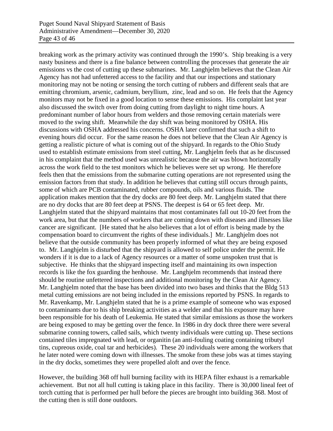breaking work as the primary activity was continued through the 1990's. Ship breaking is a very nasty business and there is a fine balance between controlling the processes that generate the air emissions vs the cost of cutting up these submarines. Mr. Langhjelm believes that the Clean Air Agency has not had unfettered access to the facility and that our inspections and stationary monitoring may not be noting or sensing the torch cutting of rubbers and different seals that are emitting chromium, arsenic, cadmium, beryllium, zinc, lead and so on. He feels that the Agency monitors may not be fixed in a good location to sense these emissions. His complaint last year also discussed the switch over from doing cutting from daylight to night time hours. A predominant number of labor hours from welders and those removing certain materials were moved to the swing shift. Meanwhile the day shift was being monitored by OSHA. His discussions with OSHA addressed his concerns. OSHA later confirmed that such a shift to evening hours did occur. For the same reason he does not believe that the Clean Air Agency is getting a realistic picture of what is coming out of the shipyard. In regards to the Ohio Study used to establish estimate emissions from steel cutting, Mr. Langhjelm feels that as he discussed in his complaint that the method used was unrealistic because the air was blown horizontally across the work field to the test monitors which he believes were set up wrong. He therefore feels then that the emissions from the submarine cutting operations are not represented using the emission factors from that study. In addition he believes that cutting still occurs through paints, some of which are PCB contaminated, rubber compounds, oils and various fluids. The application makes mention that the dry docks are 80 feet deep. Mr. Langhjelm stated that there are no dry docks that are 80 feet deep at PSNS. The deepest is 64 or 65 feet deep. Mr. Langhjelm stated that the shipyard maintains that most contaminates fall out 10-20 feet from the work area, but that the numbers of workers that are coming down with diseases and illnesses like cancer are significant. [He stated that he also believes that a lot of effort is being made by the compensation board to circumvent the rights of these individuals.] Mr. Langhjelm does not believe that the outside community has been properly informed of what they are being exposed to. Mr. Langhjelm is disturbed that the shipyard is allowed to self police under the permit. He wonders if it is due to a lack of Agency resources or a matter of some unspoken trust that is subjective. He thinks that the shipyard inspecting itself and maintaining its own inspection records is like the fox guarding the henhouse. Mr. Langhjelm recommends that instead there should be routine unfettered inspections and additional monitoring by the Clean Air Agency. Mr. Langhjelm noted that the base has been divided into two bases and thinks that the Bldg 513 metal cutting emissions are not being included in the emissions reported by PSNS. In regards to Mr. Ravenkamp, Mr. Langhjelm stated that he is a prime example of someone who was exposed to contaminants due to his ship breaking activities as a welder and that his exposure may have been responsible for his death of Leukemia. He stated that similar emissions as those the workers are being exposed to may be getting over the fence. In 1986 in dry dock three there were several submarine conning towers, called sails, which twenty individuals were cutting up. These sections contained tiles impregnated with lead, or organitin (an anti-fouling coating containing tributyl tins, cupreous oxide, coal tar and herbicides). These 20 individuals were among the workers that he later noted were coming down with illnesses. The smoke from these jobs was at times staying in the dry docks, sometimes they were propelled aloft and over the fence.

However, the building 368 off hull burning facility with its HEPA filter exhaust is a remarkable achievement. But not all hull cutting is taking place in this facility. There is 30,000 lineal feet of torch cutting that is performed per hull before the pieces are brought into building 368. Most of the cutting then is still done outdoors.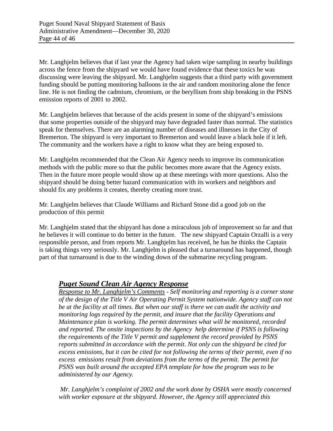Mr. Langhjelm believes that if last year the Agency had taken wipe sampling in nearby buildings across the fence from the shipyard we would have found evidence that these toxics he was discussing were leaving the shipyard. Mr. Langhjelm suggests that a third party with government funding should be putting monitoring balloons in the air and random monitoring alone the fence line. He is not finding the cadmium, chromium, or the beryllium from ship breaking in the PSNS emission reports of 2001 to 2002.

Mr. Langhjelm believes that because of the acids present in some of the shipyard's emissions that some properties outside of the shipyard may have degraded faster than normal. The statistics speak for themselves. There are an alarming number of diseases and illnesses in the City of Bremerton. The shipyard is very important to Bremerton and would leave a black hole if it left. The community and the workers have a right to know what they are being exposed to.

Mr. Langhjelm recommended that the Clean Air Agency needs to improve its communication methods with the public more so that the public becomes more aware that the Agency exists. Then in the future more people would show up at these meetings with more questions. Also the shipyard should be doing better hazard communication with its workers and neighbors and should fix any problems it creates, thereby creating more trust.

Mr. Langhjelm believes that Claude Williams and Richard Stone did a good job on the production of this permit

Mr. Langhjelm stated that the shipyard has done a miraculous job of improvement so far and that he believes it will continue to do better in the future. The new shipyard Captain Orzalli is a very responsible person, and from reports Mr. Langhjelm has received, he has he thinks the Captain is taking things very seriously. Mr. Langhjelm is pleased that a turnaround has happened, though part of that turnaround is due to the winding down of the submarine recycling program.

### *Puget Sound Clean Air Agency Response*

*Response to Mr. Langhjelm's Comments - Self monitoring and reporting is a corner stone of the design of the Title V Air Operating Permit System nationwide. Agency staff can not be at the facility at all times. But when our staff is there we can audit the activity and monitoring logs required by the permit, and insure that the facility Operations and Maintenance plan is working. The permit determines what will be monitored, recorded and reported. The onsite inspections by the Agency help determine if PSNS is following the requirements of the Title V permit and supplement the record provided by PSNS reports submitted in accordance with the permit. Not only can the shipyard be cited for excess emissions, but it can be cited for not following the terms of their permit, even if no excess emissions result from deviations from the terms of the permit. The permit for PSNS was built around the accepted EPA template for how the program was to be administered by our Agency.* 

*Mr. Langhjelm's complaint of 2002 and the work done by OSHA were mostly concerned with worker exposure at the shipyard. However, the Agency still appreciated this*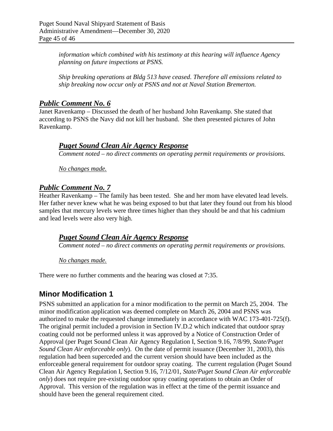*information which combined with his testimony at this hearing will influence Agency planning on future inspections at PSNS.* 

*Ship breaking operations at Bldg 513 have ceased. Therefore all emissions related to ship breaking now occur only at PSNS and not at Naval Station Bremerton.*

### *Public Comment No. 6*

Janet Ravenkamp – Discussed the death of her husband John Ravenkamp. She stated that according to PSNS the Navy did not kill her husband. She then presented pictures of John Ravenkamp.

### *Puget Sound Clean Air Agency Response*

*Comment noted – no direct comments on operating permit requirements or provisions.*

*No changes made.* 

### *Public Comment No. 7*

Heather Ravenkamp – The family has been tested. She and her mom have elevated lead levels. Her father never knew what he was being exposed to but that later they found out from his blood samples that mercury levels were three times higher than they should be and that his cadmium and lead levels were also very high.

### *Puget Sound Clean Air Agency Response*

*Comment noted – no direct comments on operating permit requirements or provisions.*

#### *No changes made.*

There were no further comments and the hearing was closed at 7:35.

# **Minor Modification 1**

PSNS submitted an application for a minor modification to the permit on March 25, 2004. The minor modification application was deemed complete on March 26, 2004 and PSNS was authorized to make the requested change immediately in accordance with WAC 173-401-725(f). The original permit included a provision in Section IV.D.2 which indicated that outdoor spray coating could not be performed unless it was approved by a Notice of Construction Order of Approval (per Puget Sound Clean Air Agency Regulation I, Section 9.16, 7/8/99, *State/Puget Sound Clean Air enforceable only*). On the date of permit issuance (December 31, 2003), this regulation had been superceded and the current version should have been included as the enforceable general requirement for outdoor spray coating. The current regulation (Puget Sound Clean Air Agency Regulation I, Section 9.16, 7/12/01, *State/Puget Sound Clean Air enforceable only*) does not require pre-existing outdoor spray coating operations to obtain an Order of Approval. This version of the regulation was in effect at the time of the permit issuance and should have been the general requirement cited.